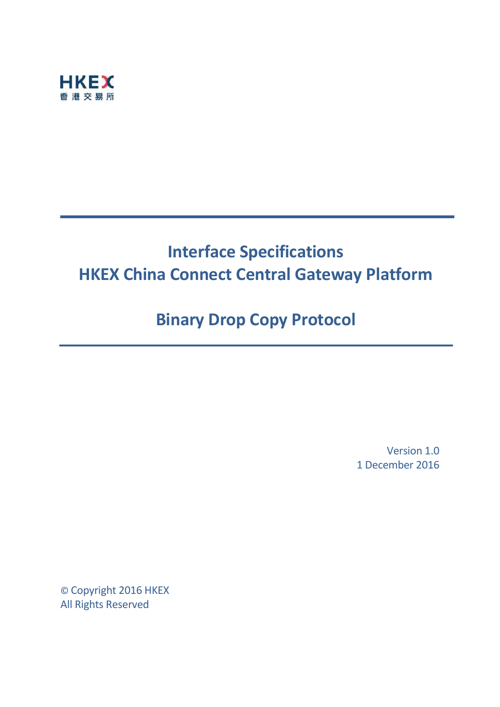

# **Interface Specifications HKEX China Connect Central Gateway Platform**

# **Binary Drop Copy Protocol**

Version 1.0 1 December 2016

© Copyright 2016 HKEX All Rights Reserved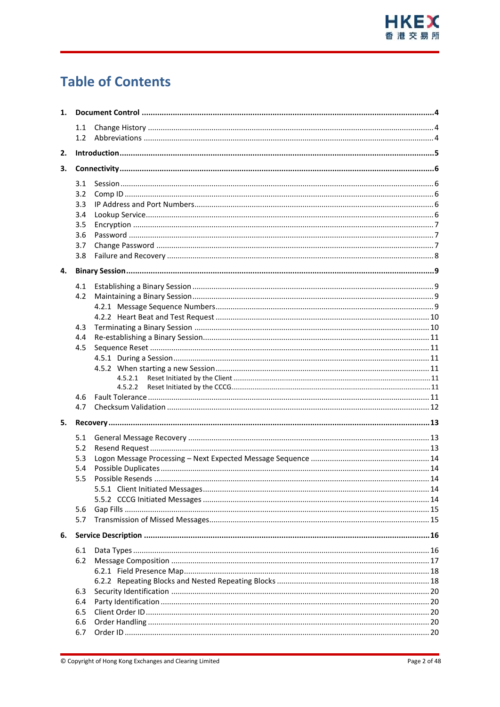# **Table of Contents**

| 1. |            |         |  |  |  |  |
|----|------------|---------|--|--|--|--|
|    | 1.1<br>1.2 |         |  |  |  |  |
|    |            |         |  |  |  |  |
| 2. |            |         |  |  |  |  |
| 3. |            |         |  |  |  |  |
|    | 3.1        |         |  |  |  |  |
|    | 3.2        |         |  |  |  |  |
|    | 3.3        |         |  |  |  |  |
|    | 3.4        |         |  |  |  |  |
|    | 3.5        |         |  |  |  |  |
|    | 3.6        |         |  |  |  |  |
|    | 3.7        |         |  |  |  |  |
|    | 3.8        |         |  |  |  |  |
| 4. |            |         |  |  |  |  |
|    | 4.1        |         |  |  |  |  |
|    | 4.2        |         |  |  |  |  |
|    |            |         |  |  |  |  |
|    |            |         |  |  |  |  |
|    | 4.3        |         |  |  |  |  |
|    | 4.4        |         |  |  |  |  |
|    | 4.5        |         |  |  |  |  |
|    |            |         |  |  |  |  |
|    |            |         |  |  |  |  |
|    |            | 4.5.2.1 |  |  |  |  |
|    |            | 4.5.2.2 |  |  |  |  |
|    | 4.6        |         |  |  |  |  |
|    | 4.7        |         |  |  |  |  |
| 5. |            |         |  |  |  |  |
|    | 5.1        |         |  |  |  |  |
|    | 5.2        |         |  |  |  |  |
|    | 5.3        |         |  |  |  |  |
|    | 5.4        |         |  |  |  |  |
|    | 5.5        |         |  |  |  |  |
|    |            |         |  |  |  |  |
|    |            |         |  |  |  |  |
|    | 5.6        |         |  |  |  |  |
|    | 5.7        |         |  |  |  |  |
| 6. |            |         |  |  |  |  |
|    | 6.1        |         |  |  |  |  |
|    | 6.2        |         |  |  |  |  |
|    |            |         |  |  |  |  |
|    |            |         |  |  |  |  |
|    | 6.3        |         |  |  |  |  |
|    | 6.4        |         |  |  |  |  |
|    | 6.5        |         |  |  |  |  |
|    | 6.6        |         |  |  |  |  |
|    | 6.7        |         |  |  |  |  |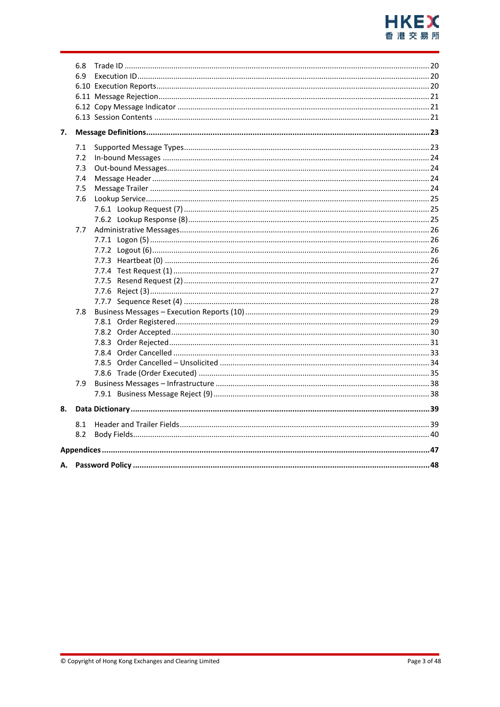

| 6.8<br>6.9 |     |  |  |  |  |  |
|------------|-----|--|--|--|--|--|
| 7.         |     |  |  |  |  |  |
|            | 7.1 |  |  |  |  |  |
|            | 7.2 |  |  |  |  |  |
|            | 7.3 |  |  |  |  |  |
|            | 7.4 |  |  |  |  |  |
|            | 7.5 |  |  |  |  |  |
|            | 7.6 |  |  |  |  |  |
|            |     |  |  |  |  |  |
|            |     |  |  |  |  |  |
|            | 7.7 |  |  |  |  |  |
|            |     |  |  |  |  |  |
|            |     |  |  |  |  |  |
|            |     |  |  |  |  |  |
|            |     |  |  |  |  |  |
|            |     |  |  |  |  |  |
|            |     |  |  |  |  |  |
|            | 7.8 |  |  |  |  |  |
|            |     |  |  |  |  |  |
|            |     |  |  |  |  |  |
|            |     |  |  |  |  |  |
|            |     |  |  |  |  |  |
|            |     |  |  |  |  |  |
|            |     |  |  |  |  |  |
|            | 7.9 |  |  |  |  |  |
|            |     |  |  |  |  |  |
| 8.         |     |  |  |  |  |  |
|            | 8.1 |  |  |  |  |  |
|            | 8.2 |  |  |  |  |  |
|            |     |  |  |  |  |  |
| А.         |     |  |  |  |  |  |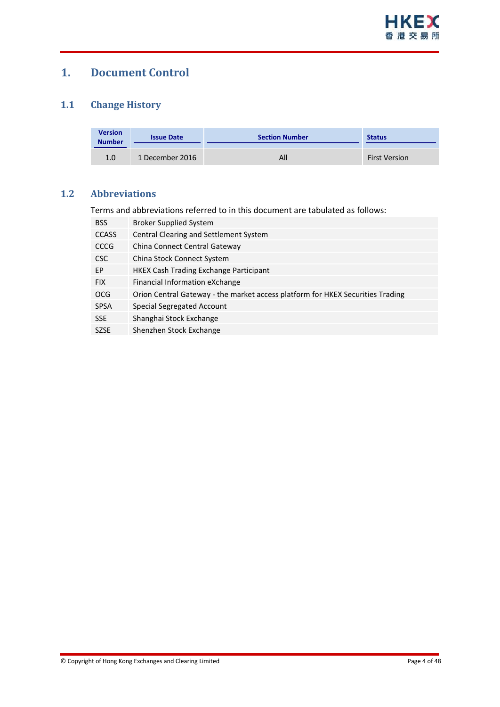

## <span id="page-3-0"></span>**1. Document Control**

#### <span id="page-3-1"></span>**1.1 Change History**

| <b>Version</b><br><b>Number</b> | <b>Issue Date</b> | <b>Section Number</b> | <b>Status</b>        |
|---------------------------------|-------------------|-----------------------|----------------------|
| 1.0                             | 1 December 2016   | All                   | <b>First Version</b> |

#### <span id="page-3-2"></span>**1.2 Abbreviations**

Terms and abbreviations referred to in this document are tabulated as follows:

| <b>BSS</b>   | <b>Broker Supplied System</b>                                                  |
|--------------|--------------------------------------------------------------------------------|
| <b>CCASS</b> | Central Clearing and Settlement System                                         |
| CCCG         | China Connect Central Gateway                                                  |
| <b>CSC</b>   | China Stock Connect System                                                     |
| EP           | <b>HKEX Cash Trading Exchange Participant</b>                                  |
| <b>FIX</b>   | Financial Information eXchange                                                 |
| <b>OCG</b>   | Orion Central Gateway - the market access platform for HKEX Securities Trading |
| <b>SPSA</b>  | Special Segregated Account                                                     |
| <b>SSE</b>   | Shanghai Stock Exchange                                                        |
| <b>SZSE</b>  | Shenzhen Stock Exchange                                                        |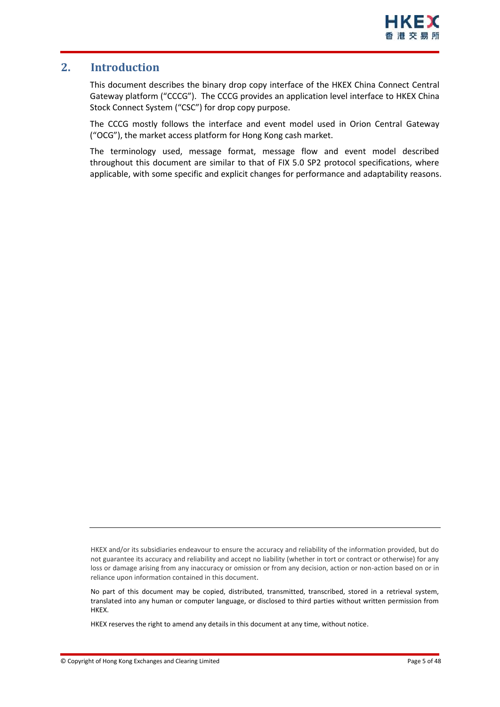#### <span id="page-4-0"></span>**2. Introduction**

This document describes the binary drop copy interface of the HKEX China Connect Central Gateway platform ("CCCG"). The CCCG provides an application level interface to HKEX China Stock Connect System ("CSC") for drop copy purpose.

The CCCG mostly follows the interface and event model used in Orion Central Gateway ("OCG"), the market access platform for Hong Kong cash market.

The terminology used, message format, message flow and event model described throughout this document are similar to that of FIX 5.0 SP2 protocol specifications, where applicable, with some specific and explicit changes for performance and adaptability reasons.

HKEX and/or its subsidiaries endeavour to ensure the accuracy and reliability of the information provided, but do not guarantee its accuracy and reliability and accept no liability (whether in tort or contract or otherwise) for any loss or damage arising from any inaccuracy or omission or from any decision, action or non-action based on or in reliance upon information contained in this document.

No part of this document may be copied, distributed, transmitted, transcribed, stored in a retrieval system, translated into any human or computer language, or disclosed to third parties without written permission from HKEX.

HKEX reserves the right to amend any details in this document at any time, without notice.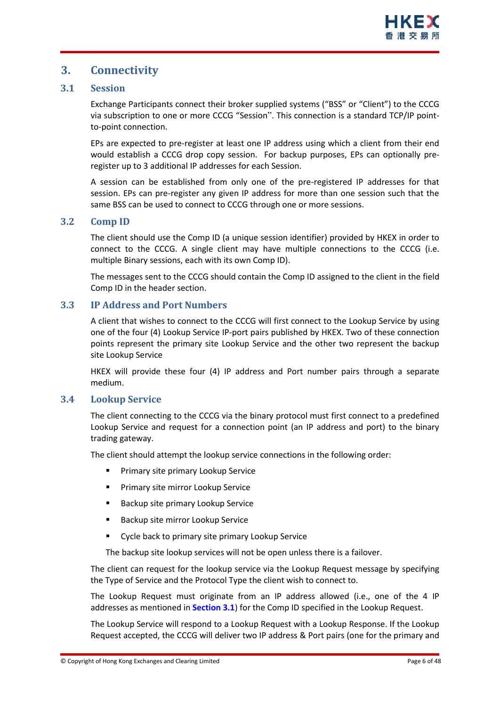### <span id="page-5-0"></span>**3. Connectivity**

#### <span id="page-5-1"></span>**3.1 Session**

Exchange Participants connect their broker supplied systems ("BSS" or "Client") to the CCCG via subscription to one or more CCCG "Session". This connection is a standard TCP/IP pointto-point connection.

EPs are expected to pre-register at least one IP address using which a client from their end would establish a CCCG drop copy session. For backup purposes, EPs can optionally preregister up to 3 additional IP addresses for each Session.

A session can be established from only one of the pre-registered IP addresses for that session. EPs can pre-register any given IP address for more than one session such that the same BSS can be used to connect to CCCG through one or more sessions.

#### <span id="page-5-2"></span>**3.2 Comp ID**

The client should use the Comp ID (a unique session identifier) provided by HKEX in order to connect to the CCCG. A single client may have multiple connections to the CCCG (i.e. multiple Binary sessions, each with its own Comp ID).

The messages sent to the CCCG should contain the Comp ID assigned to the client in the field Comp ID in the header section.

#### <span id="page-5-3"></span>**3.3 IP Address and Port Numbers**

A client that wishes to connect to the CCCG will first connect to the Lookup Service by using one of the four (4) Lookup Service IP-port pairs published by HKEX. Two of these connection points represent the primary site Lookup Service and the other two represent the backup site Lookup Service

HKEX will provide these four (4) IP address and Port number pairs through a separate medium.

#### <span id="page-5-4"></span>**3.4 Lookup Service**

The client connecting to the CCCG via the binary protocol must first connect to a predefined Lookup Service and request for a connection point (an IP address and port) to the binary trading gateway.

The client should attempt the lookup service connections in the following order:

- **Primary site primary Lookup Service**
- **Primary site mirror Lookup Service**
- Backup site primary Lookup Service
- Backup site mirror Lookup Service
- **Cycle back to primary site primary Lookup Service**

The backup site lookup services will not be open unless there is a failover.

The client can request for the lookup service via the Lookup Request message by specifying the Type of Service and the Protocol Type the client wish to connect to.

The Lookup Request must originate from an IP address allowed (i.e., one of the 4 IP addresses as mentioned in **Section [3.1](#page-5-1)**) for the Comp ID specified in the Lookup Request.

The Lookup Service will respond to a Lookup Request with a Lookup Response. If the Lookup Request accepted, the CCCG will deliver two IP address & Port pairs (one for the primary and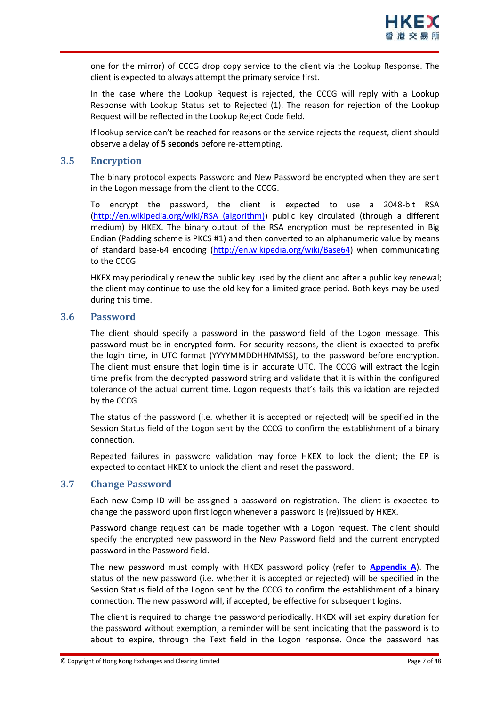one for the mirror) of CCCG drop copy service to the client via the Lookup Response. The client is expected to always attempt the primary service first.

In the case where the Lookup Request is rejected, the CCCG will reply with a Lookup Response with Lookup Status set to Rejected (1). The reason for rejection of the Lookup Request will be reflected in the Lookup Reject Code field.

If lookup service can't be reached for reasons or the service rejects the request, client should observe a delay of **5 seconds** before re-attempting.

#### <span id="page-6-0"></span>**3.5 Encryption**

The binary protocol expects Password and New Password be encrypted when they are sent in the Logon message from the client to the CCCG.

To encrypt the password, the client is expected to use a 2048-bit RSA [\(http://en.wikipedia.org/wiki/RSA\\_\(algorithm\)\)](http://en.wikipedia.org/wiki/RSA_(algorithm)) public key circulated (through a different medium) by HKEX. The binary output of the RSA encryption must be represented in Big Endian (Padding scheme is PKCS #1) and then converted to an alphanumeric value by means of standard base-64 encoding [\(http://en.wikipedia.org/wiki/Base64\)](http://en.wikipedia.org/wiki/Base64) when communicating to the CCCG.

HKEX may periodically renew the public key used by the client and after a public key renewal; the client may continue to use the old key for a limited grace period. Both keys may be used during this time.

#### <span id="page-6-1"></span>**3.6 Password**

The client should specify a password in the password field of the Logon message. This password must be in encrypted form. For security reasons, the client is expected to prefix the login time, in UTC format (YYYYMMDDHHMMSS), to the password before encryption. The client must ensure that login time is in accurate UTC. The CCCG will extract the login time prefix from the decrypted password string and validate that it is within the configured tolerance of the actual current time. Logon requests that's fails this validation are rejected by the CCCG.

The status of the password (i.e. whether it is accepted or rejected) will be specified in the Session Status field of the Logon sent by the CCCG to confirm the establishment of a binary connection.

Repeated failures in password validation may force HKEX to lock the client; the EP is expected to contact HKEX to unlock the client and reset the password.

#### <span id="page-6-2"></span>**3.7 Change Password**

Each new Comp ID will be assigned a password on registration. The client is expected to change the password upon first logon whenever a password is (re)issued by HKEX.

Password change request can be made together with a Logon request. The client should specify the encrypted new password in the New Password field and the current encrypted password in the Password field.

The new password must comply with HKEX password policy (refer to **Appendix [A](#page-47-0)**). The status of the new password (i.e. whether it is accepted or rejected) will be specified in the Session Status field of the Logon sent by the CCCG to confirm the establishment of a binary connection. The new password will, if accepted, be effective for subsequent logins.

The client is required to change the password periodically. HKEX will set expiry duration for the password without exemption; a reminder will be sent indicating that the password is to about to expire, through the Text field in the Logon response. Once the password has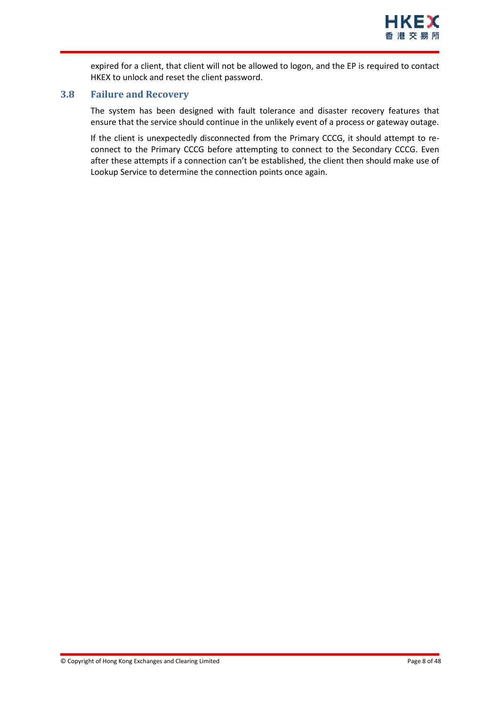

expired for a client, that client will not be allowed to logon, and the EP is required to contact HKEX to unlock and reset the client password.

#### <span id="page-7-0"></span>**3.8 Failure and Recovery**

The system has been designed with fault tolerance and disaster recovery features that ensure that the service should continue in the unlikely event of a process or gateway outage.

If the client is unexpectedly disconnected from the Primary CCCG, it should attempt to reconnect to the Primary CCCG before attempting to connect to the Secondary CCCG. Even after these attempts if a connection can't be established, the client then should make use of Lookup Service to determine the connection points once again.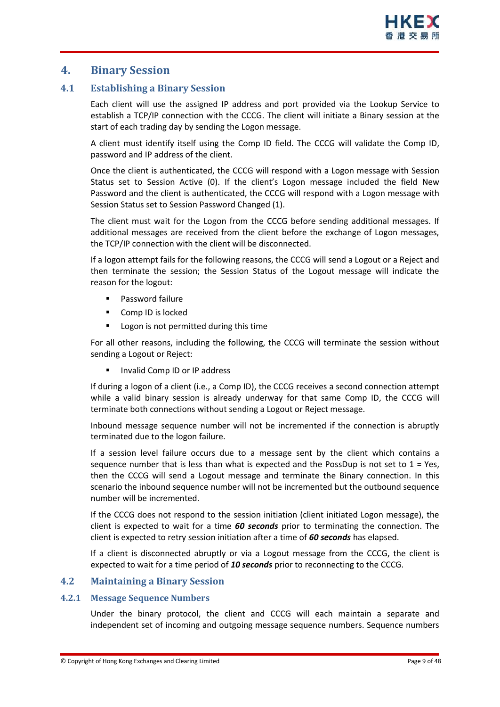#### <span id="page-8-0"></span>**4. Binary Session**

#### <span id="page-8-1"></span>**4.1 Establishing a Binary Session**

Each client will use the assigned IP address and port provided via the Lookup Service to establish a TCP/IP connection with the CCCG. The client will initiate a Binary session at the start of each trading day by sending the Logon message.

A client must identify itself using the Comp ID field. The CCCG will validate the Comp ID, password and IP address of the client.

Once the client is authenticated, the CCCG will respond with a Logon message with Session Status set to Session Active (0). If the client's Logon message included the field New Password and the client is authenticated, the CCCG will respond with a Logon message with Session Status set to Session Password Changed (1).

The client must wait for the Logon from the CCCG before sending additional messages. If additional messages are received from the client before the exchange of Logon messages, the TCP/IP connection with the client will be disconnected.

If a logon attempt fails for the following reasons, the CCCG will send a Logout or a Reject and then terminate the session; the Session Status of the Logout message will indicate the reason for the logout:

- **Password failure**
- **Comp ID is locked**
- **Logon is not permitted during this time**

For all other reasons, including the following, the CCCG will terminate the session without sending a Logout or Reject:

Invalid Comp ID or IP address

If during a logon of a client (i.e., a Comp ID), the CCCG receives a second connection attempt while a valid binary session is already underway for that same Comp ID, the CCCG will terminate both connections without sending a Logout or Reject message.

Inbound message sequence number will not be incremented if the connection is abruptly terminated due to the logon failure.

If a session level failure occurs due to a message sent by the client which contains a sequence number that is less than what is expected and the PossDup is not set to  $1 = Yes$ , then the CCCG will send a Logout message and terminate the Binary connection. In this scenario the inbound sequence number will not be incremented but the outbound sequence number will be incremented.

If the CCCG does not respond to the session initiation (client initiated Logon message), the client is expected to wait for a time *60 seconds* prior to terminating the connection. The client is expected to retry session initiation after a time of *60 seconds* has elapsed.

If a client is disconnected abruptly or via a Logout message from the CCCG, the client is expected to wait for a time period of *10 seconds* prior to reconnecting to the CCCG.

#### <span id="page-8-2"></span>**4.2 Maintaining a Binary Session**

#### <span id="page-8-3"></span>**4.2.1 Message Sequence Numbers**

Under the binary protocol, the client and CCCG will each maintain a separate and independent set of incoming and outgoing message sequence numbers. Sequence numbers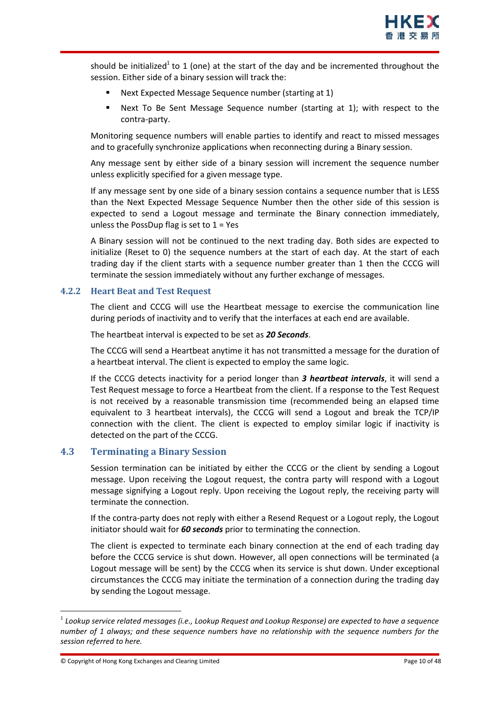should be initialized<sup>1</sup> to 1 (one) at the start of the day and be incremented throughout the session. Either side of a binary session will track the:

- Next Expected Message Sequence number (starting at 1)
- Next To Be Sent Message Sequence number (starting at 1); with respect to the contra-party.

Monitoring sequence numbers will enable parties to identify and react to missed messages and to gracefully synchronize applications when reconnecting during a Binary session.

Any message sent by either side of a binary session will increment the sequence number unless explicitly specified for a given message type.

If any message sent by one side of a binary session contains a sequence number that is LESS than the Next Expected Message Sequence Number then the other side of this session is expected to send a Logout message and terminate the Binary connection immediately, unless the PossDup flag is set to  $1 = Yes$ 

A Binary session will not be continued to the next trading day. Both sides are expected to initialize (Reset to 0) the sequence numbers at the start of each day. At the start of each trading day if the client starts with a sequence number greater than 1 then the CCCG will terminate the session immediately without any further exchange of messages.

#### <span id="page-9-0"></span>**4.2.2 Heart Beat and Test Request**

The client and CCCG will use the Heartbeat message to exercise the communication line during periods of inactivity and to verify that the interfaces at each end are available.

The heartbeat interval is expected to be set as *20 Seconds*.

The CCCG will send a Heartbeat anytime it has not transmitted a message for the duration of a heartbeat interval. The client is expected to employ the same logic.

If the CCCG detects inactivity for a period longer than *3 heartbeat intervals*, it will send a Test Request message to force a Heartbeat from the client. If a response to the Test Request is not received by a reasonable transmission time (recommended being an elapsed time equivalent to 3 heartbeat intervals), the CCCG will send a Logout and break the TCP/IP connection with the client. The client is expected to employ similar logic if inactivity is detected on the part of the CCCG.

#### <span id="page-9-1"></span>**4.3 Terminating a Binary Session**

Session termination can be initiated by either the CCCG or the client by sending a Logout message. Upon receiving the Logout request, the contra party will respond with a Logout message signifying a Logout reply. Upon receiving the Logout reply, the receiving party will terminate the connection.

If the contra-party does not reply with either a Resend Request or a Logout reply, the Logout initiator should wait for *60 seconds* prior to terminating the connection.

The client is expected to terminate each binary connection at the end of each trading day before the CCCG service is shut down. However, all open connections will be terminated (a Logout message will be sent) by the CCCG when its service is shut down. Under exceptional circumstances the CCCG may initiate the termination of a connection during the trading day by sending the Logout message.

1

<sup>1</sup> *Lookup service related messages (i.e., Lookup Request and Lookup Response) are expected to have a sequence number of 1 always; and these sequence numbers have no relationship with the sequence numbers for the session referred to here.*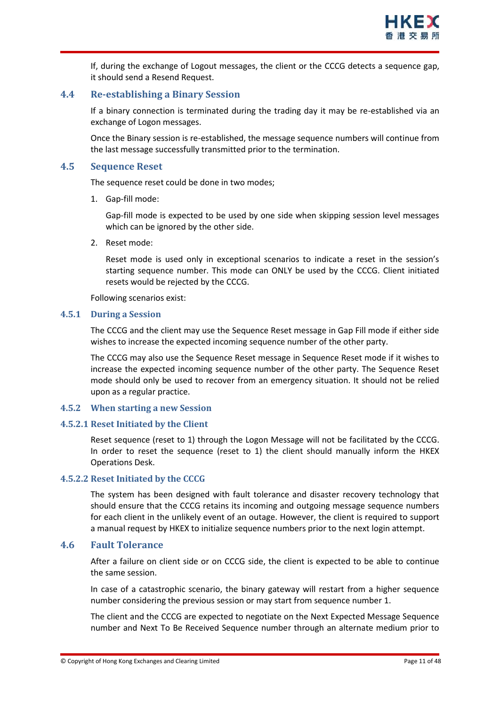

If, during the exchange of Logout messages, the client or the CCCG detects a sequence gap, it should send a Resend Request.

#### <span id="page-10-0"></span>**4.4 Re-establishing a Binary Session**

If a binary connection is terminated during the trading day it may be re-established via an exchange of Logon messages.

Once the Binary session is re-established, the message sequence numbers will continue from the last message successfully transmitted prior to the termination.

#### <span id="page-10-1"></span>**4.5 Sequence Reset**

The sequence reset could be done in two modes;

1. Gap-fill mode:

Gap-fill mode is expected to be used by one side when skipping session level messages which can be ignored by the other side.

2. Reset mode:

Reset mode is used only in exceptional scenarios to indicate a reset in the session's starting sequence number. This mode can ONLY be used by the CCCG. Client initiated resets would be rejected by the CCCG.

Following scenarios exist:

#### <span id="page-10-2"></span>**4.5.1 During a Session**

The CCCG and the client may use the Sequence Reset message in Gap Fill mode if either side wishes to increase the expected incoming sequence number of the other party.

The CCCG may also use the Sequence Reset message in Sequence Reset mode if it wishes to increase the expected incoming sequence number of the other party. The Sequence Reset mode should only be used to recover from an emergency situation. It should not be relied upon as a regular practice.

#### <span id="page-10-3"></span>**4.5.2 When starting a new Session**

#### <span id="page-10-4"></span>**4.5.2.1 Reset Initiated by the Client**

Reset sequence (reset to 1) through the Logon Message will not be facilitated by the CCCG. In order to reset the sequence (reset to 1) the client should manually inform the HKEX Operations Desk.

#### <span id="page-10-5"></span>**4.5.2.2 Reset Initiated by the CCCG**

The system has been designed with fault tolerance and disaster recovery technology that should ensure that the CCCG retains its incoming and outgoing message sequence numbers for each client in the unlikely event of an outage. However, the client is required to support a manual request by HKEX to initialize sequence numbers prior to the next login attempt.

#### <span id="page-10-6"></span>**4.6 Fault Tolerance**

After a failure on client side or on CCCG side, the client is expected to be able to continue the same session.

In case of a catastrophic scenario, the binary gateway will restart from a higher sequence number considering the previous session or may start from sequence number 1.

The client and the CCCG are expected to negotiate on the Next Expected Message Sequence number and Next To Be Received Sequence number through an alternate medium prior to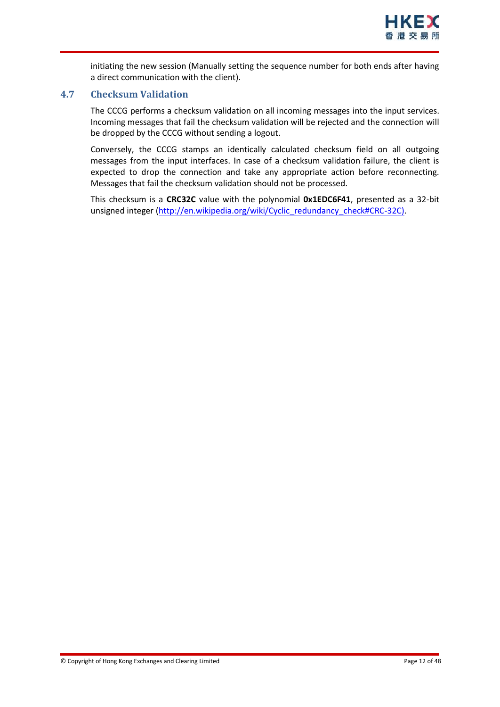

initiating the new session (Manually setting the sequence number for both ends after having a direct communication with the client).

#### <span id="page-11-0"></span>**4.7 Checksum Validation**

The CCCG performs a checksum validation on all incoming messages into the input services. Incoming messages that fail the checksum validation will be rejected and the connection will be dropped by the CCCG without sending a logout.

Conversely, the CCCG stamps an identically calculated checksum field on all outgoing messages from the input interfaces. In case of a checksum validation failure, the client is expected to drop the connection and take any appropriate action before reconnecting. Messages that fail the checksum validation should not be processed.

This checksum is a **CRC32C** value with the polynomial **0x1EDC6F41**, presented as a 32-bit unsigned integer [\(http://en.wikipedia.org/wiki/Cyclic\\_redundancy\\_check#CRC-32C\)](http://en.wikipedia.org/wiki/Cyclic_redundancy_check#CRC-32C).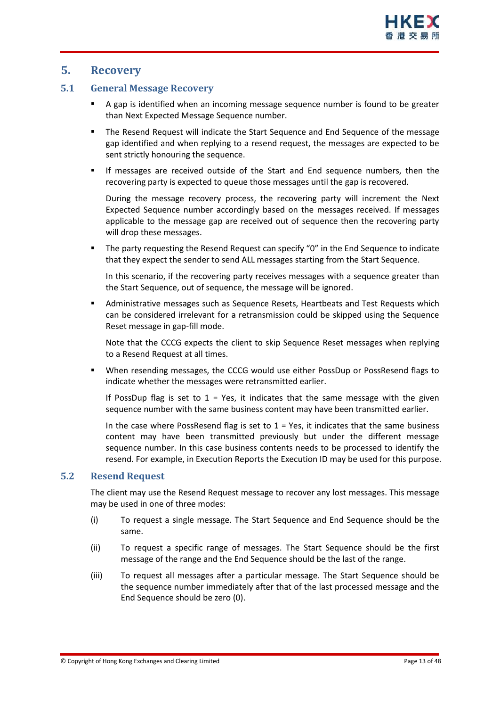#### <span id="page-12-0"></span>**5. Recovery**

#### <span id="page-12-1"></span>**5.1 General Message Recovery**

- A gap is identified when an incoming message sequence number is found to be greater than Next Expected Message Sequence number.
- The Resend Request will indicate the Start Sequence and End Sequence of the message gap identified and when replying to a resend request, the messages are expected to be sent strictly honouring the sequence.
- If messages are received outside of the Start and End sequence numbers, then the recovering party is expected to queue those messages until the gap is recovered.

During the message recovery process, the recovering party will increment the Next Expected Sequence number accordingly based on the messages received. If messages applicable to the message gap are received out of sequence then the recovering party will drop these messages.

 The party requesting the Resend Request can specify "0" in the End Sequence to indicate that they expect the sender to send ALL messages starting from the Start Sequence.

In this scenario, if the recovering party receives messages with a sequence greater than the Start Sequence, out of sequence, the message will be ignored.

 Administrative messages such as Sequence Resets, Heartbeats and Test Requests which can be considered irrelevant for a retransmission could be skipped using the Sequence Reset message in gap-fill mode.

Note that the CCCG expects the client to skip Sequence Reset messages when replying to a Resend Request at all times.

 When resending messages, the CCCG would use either PossDup or PossResend flags to indicate whether the messages were retransmitted earlier.

If PossDup flag is set to  $1 = Yes$ , it indicates that the same message with the given sequence number with the same business content may have been transmitted earlier.

In the case where PossResend flag is set to  $1 = Yes$ , it indicates that the same business content may have been transmitted previously but under the different message sequence number. In this case business contents needs to be processed to identify the resend. For example, in Execution Reports the Execution ID may be used for this purpose.

#### <span id="page-12-2"></span>**5.2 Resend Request**

The client may use the Resend Request message to recover any lost messages. This message may be used in one of three modes:

- (i) To request a single message. The Start Sequence and End Sequence should be the same.
- (ii) To request a specific range of messages. The Start Sequence should be the first message of the range and the End Sequence should be the last of the range.
- (iii) To request all messages after a particular message. The Start Sequence should be the sequence number immediately after that of the last processed message and the End Sequence should be zero (0).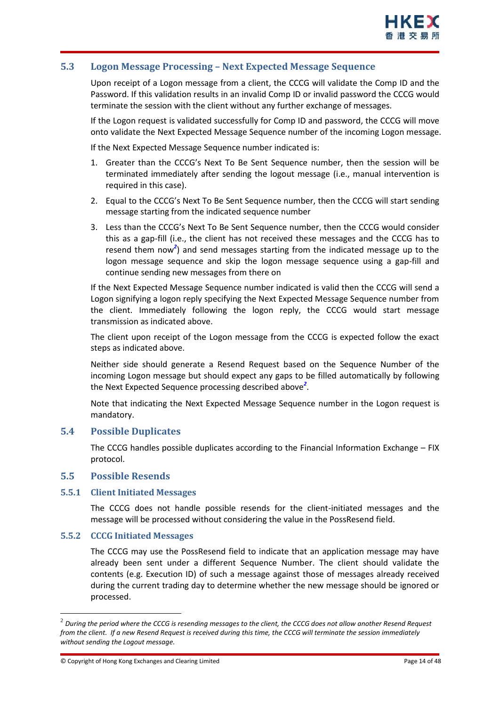#### <span id="page-13-0"></span>**5.3 Logon Message Processing – Next Expected Message Sequence**

Upon receipt of a Logon message from a client, the CCCG will validate the Comp ID and the Password. If this validation results in an invalid Comp ID or invalid password the CCCG would terminate the session with the client without any further exchange of messages.

If the Logon request is validated successfully for Comp ID and password, the CCCG will move onto validate the Next Expected Message Sequence number of the incoming Logon message.

If the Next Expected Message Sequence number indicated is:

- 1. Greater than the CCCG's Next To Be Sent Sequence number, then the session will be terminated immediately after sending the logout message (i.e., manual intervention is required in this case).
- 2. Equal to the CCCG's Next To Be Sent Sequence number, then the CCCG will start sending message starting from the indicated sequence number
- 3. Less than the CCCG's Next To Be Sent Sequence number, then the CCCG would consider this as a gap-fill (i.e., the client has not received these messages and the CCCG has to resend them now<sup>2</sup>) and send messages starting from the indicated message up to the logon message sequence and skip the logon message sequence using a gap-fill and continue sending new messages from there on

If the Next Expected Message Sequence number indicated is valid then the CCCG will send a Logon signifying a logon reply specifying the Next Expected Message Sequence number from the client. Immediately following the logon reply, the CCCG would start message transmission as indicated above.

The client upon receipt of the Logon message from the CCCG is expected follow the exact steps as indicated above.

Neither side should generate a Resend Request based on the Sequence Number of the incoming Logon message but should expect any gaps to be filled automatically by following the Next Expected Sequence processing described above*<sup>2</sup>* .

Note that indicating the Next Expected Message Sequence number in the Logon request is mandatory.

#### <span id="page-13-1"></span>**5.4 Possible Duplicates**

The CCCG handles possible duplicates according to the Financial Information Exchange – FIX protocol.

#### <span id="page-13-2"></span>**5.5 Possible Resends**

#### <span id="page-13-3"></span>**5.5.1 Client Initiated Messages**

The CCCG does not handle possible resends for the client-initiated messages and the message will be processed without considering the value in the PossResend field.

#### <span id="page-13-4"></span>**5.5.2 CCCG Initiated Messages**

1

The CCCG may use the PossResend field to indicate that an application message may have already been sent under a different Sequence Number. The client should validate the contents (e.g. Execution ID) of such a message against those of messages already received during the current trading day to determine whether the new message should be ignored or processed.

<sup>2</sup> *During the period where the CCCG is resending messages to the client, the CCCG does not allow another Resend Request from the client. If a new Resend Request is received during this time, the CCCG will terminate the session immediately without sending the Logout message.*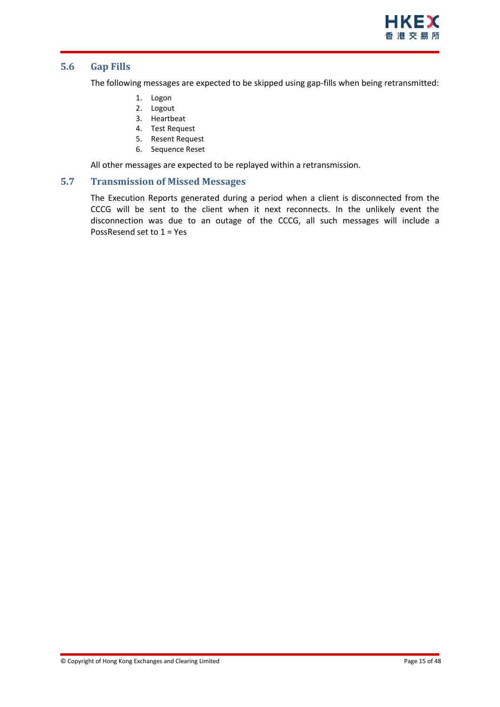

#### <span id="page-14-0"></span>**5.6 Gap Fills**

The following messages are expected to be skipped using gap-fills when being retransmitted:

- 1. Logon
- 2. Logout
- 3. Heartbeat
- 4. Test Request
- 5. Resent Request
- 6. Sequence Reset

All other messages are expected to be replayed within a retransmission.

#### <span id="page-14-1"></span>**5.7 Transmission of Missed Messages**

The Execution Reports generated during a period when a client is disconnected from the CCCG will be sent to the client when it next reconnects. In the unlikely event the disconnection was due to an outage of the CCCG, all such messages will include a PossResend set to 1 = Yes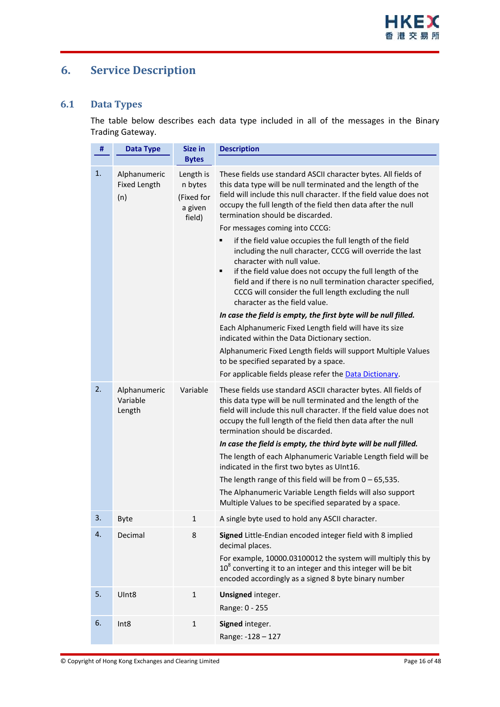# <span id="page-15-0"></span>**6. Service Description**

#### <span id="page-15-1"></span>**6.1 Data Types**

The table below describes each data type included in all of the messages in the Binary Trading Gateway.

| #  | <b>Data Type</b>                           | Size in                                                 | <b>Description</b>                                                                                                                                                                                                                                                                                                                                                                                                                                                                                                                                                                                                                                                                                                                                                                                                                                                                                                                                                                                                                                                                        |
|----|--------------------------------------------|---------------------------------------------------------|-------------------------------------------------------------------------------------------------------------------------------------------------------------------------------------------------------------------------------------------------------------------------------------------------------------------------------------------------------------------------------------------------------------------------------------------------------------------------------------------------------------------------------------------------------------------------------------------------------------------------------------------------------------------------------------------------------------------------------------------------------------------------------------------------------------------------------------------------------------------------------------------------------------------------------------------------------------------------------------------------------------------------------------------------------------------------------------------|
|    |                                            | <b>Bytes</b>                                            |                                                                                                                                                                                                                                                                                                                                                                                                                                                                                                                                                                                                                                                                                                                                                                                                                                                                                                                                                                                                                                                                                           |
| 1. | Alphanumeric<br><b>Fixed Length</b><br>(n) | Length is<br>n bytes<br>(Fixed for<br>a given<br>field) | These fields use standard ASCII character bytes. All fields of<br>this data type will be null terminated and the length of the<br>field will include this null character. If the field value does not<br>occupy the full length of the field then data after the null<br>termination should be discarded.<br>For messages coming into CCCG:<br>if the field value occupies the full length of the field<br>٠<br>including the null character, CCCG will override the last<br>character with null value.<br>if the field value does not occupy the full length of the<br>٠<br>field and if there is no null termination character specified,<br>CCCG will consider the full length excluding the null<br>character as the field value.<br>In case the field is empty, the first byte will be null filled.<br>Each Alphanumeric Fixed Length field will have its size<br>indicated within the Data Dictionary section.<br>Alphanumeric Fixed Length fields will support Multiple Values<br>to be specified separated by a space.<br>For applicable fields please refer the Data Dictionary. |
| 2. | Alphanumeric<br>Variable<br>Length         | Variable                                                | These fields use standard ASCII character bytes. All fields of<br>this data type will be null terminated and the length of the<br>field will include this null character. If the field value does not<br>occupy the full length of the field then data after the null<br>termination should be discarded.<br>In case the field is empty, the third byte will be null filled.<br>The length of each Alphanumeric Variable Length field will be<br>indicated in the first two bytes as UInt16.<br>The length range of this field will be from $0 - 65,535$ .<br>The Alphanumeric Variable Length fields will also support<br>Multiple Values to be specified separated by a space.                                                                                                                                                                                                                                                                                                                                                                                                          |
| 3. | Byte                                       | 1                                                       | A single byte used to hold any ASCII character.                                                                                                                                                                                                                                                                                                                                                                                                                                                                                                                                                                                                                                                                                                                                                                                                                                                                                                                                                                                                                                           |
| 4. | Decimal                                    | 8                                                       | Signed Little-Endian encoded integer field with 8 implied<br>decimal places.<br>For example, 10000.03100012 the system will multiply this by<br>$108$ converting it to an integer and this integer will be bit<br>encoded accordingly as a signed 8 byte binary number                                                                                                                                                                                                                                                                                                                                                                                                                                                                                                                                                                                                                                                                                                                                                                                                                    |
| 5. | UInt8                                      | $\mathbf{1}$                                            | Unsigned integer.<br>Range: 0 - 255                                                                                                                                                                                                                                                                                                                                                                                                                                                                                                                                                                                                                                                                                                                                                                                                                                                                                                                                                                                                                                                       |
| 6. | Int8                                       | $\mathbf{1}$                                            | Signed integer.<br>Range: -128 - 127                                                                                                                                                                                                                                                                                                                                                                                                                                                                                                                                                                                                                                                                                                                                                                                                                                                                                                                                                                                                                                                      |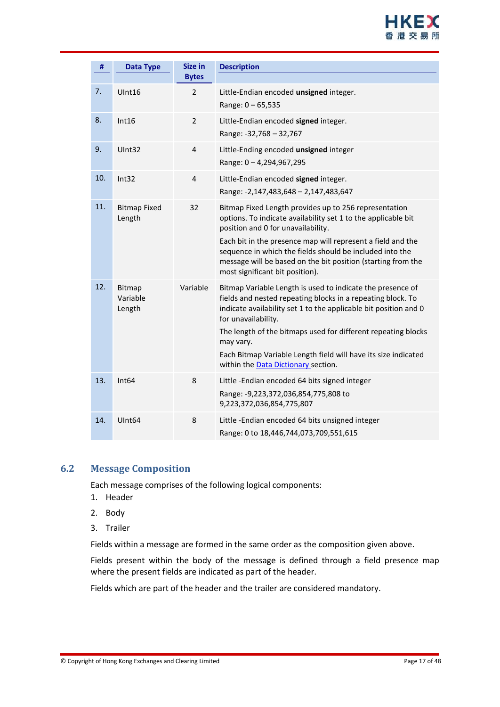

| #   | <b>Data Type</b>              | <b>Size in</b> | <b>Description</b>                                                                                                                                                                                                                                                                                                                                                                                          |
|-----|-------------------------------|----------------|-------------------------------------------------------------------------------------------------------------------------------------------------------------------------------------------------------------------------------------------------------------------------------------------------------------------------------------------------------------------------------------------------------------|
|     |                               | <b>Bytes</b>   |                                                                                                                                                                                                                                                                                                                                                                                                             |
| 7.  | UInt16                        | $\overline{2}$ | Little-Endian encoded unsigned integer.<br>Range: 0 - 65,535                                                                                                                                                                                                                                                                                                                                                |
| 8.  | Int16                         | $\overline{2}$ | Little-Endian encoded signed integer.<br>Range: -32,768 - 32,767                                                                                                                                                                                                                                                                                                                                            |
| 9.  | UInt32                        | 4              | Little-Ending encoded unsigned integer<br>Range: 0-4,294,967,295                                                                                                                                                                                                                                                                                                                                            |
| 10. | Int32                         | $\overline{4}$ | Little-Endian encoded signed integer.<br>Range: -2,147,483,648 - 2,147,483,647                                                                                                                                                                                                                                                                                                                              |
| 11. | <b>Bitmap Fixed</b><br>Length | 32             | Bitmap Fixed Length provides up to 256 representation<br>options. To indicate availability set 1 to the applicable bit<br>position and 0 for unavailability.<br>Each bit in the presence map will represent a field and the<br>sequence in which the fields should be included into the<br>message will be based on the bit position (starting from the<br>most significant bit position).                  |
| 12. | Bitmap<br>Variable<br>Length  | Variable       | Bitmap Variable Length is used to indicate the presence of<br>fields and nested repeating blocks in a repeating block. To<br>indicate availability set 1 to the applicable bit position and 0<br>for unavailability.<br>The length of the bitmaps used for different repeating blocks<br>may vary.<br>Each Bitmap Variable Length field will have its size indicated<br>within the Data Dictionary section. |
| 13. | Int <sub>64</sub>             | 8              | Little-Endian encoded 64 bits signed integer<br>Range: -9,223,372,036,854,775,808 to<br>9,223,372,036,854,775,807                                                                                                                                                                                                                                                                                           |
| 14. | UInt <sub>64</sub>            | 8              | Little-Endian encoded 64 bits unsigned integer<br>Range: 0 to 18,446,744,073,709,551,615                                                                                                                                                                                                                                                                                                                    |

#### <span id="page-16-0"></span>**6.2 Message Composition**

Each message comprises of the following logical components:

- 1. Header
- 2. Body
- 3. Trailer

Fields within a message are formed in the same order as the composition given above.

Fields present within the body of the message is defined through a field presence map where the present fields are indicated as part of the header.

Fields which are part of the header and the trailer are considered mandatory.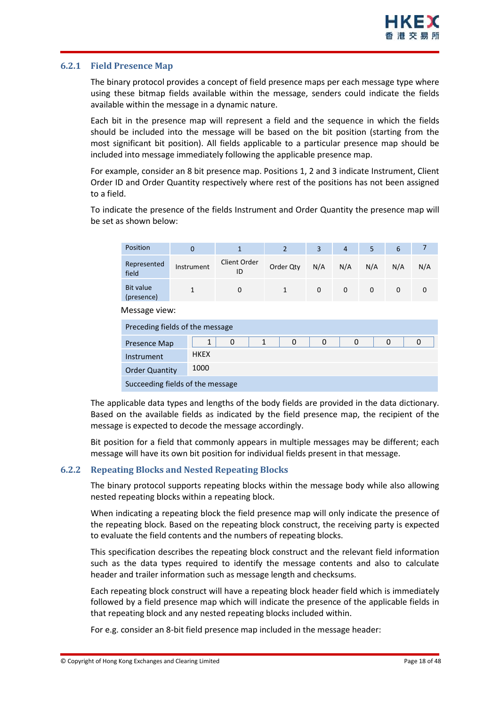#### <span id="page-17-0"></span>**6.2.1 Field Presence Map**

The binary protocol provides a concept of field presence maps per each message type where using these bitmap fields available within the message, senders could indicate the fields available within the message in a dynamic nature.

Each bit in the presence map will represent a field and the sequence in which the fields should be included into the message will be based on the bit position (starting from the most significant bit position). All fields applicable to a particular presence map should be included into message immediately following the applicable presence map.

For example, consider an 8 bit presence map. Positions 1, 2 and 3 indicate Instrument, Client Order ID and Order Quantity respectively where rest of the positions has not been assigned to a field.

To indicate the presence of the fields Instrument and Order Quantity the presence map will be set as shown below:

| Position                         | $\overline{0}$                  | $\mathbf{1}$       | $\overline{2}$               | 3           | $\overline{4}$ | 5           | 6           | $\overline{7}$ |
|----------------------------------|---------------------------------|--------------------|------------------------------|-------------|----------------|-------------|-------------|----------------|
| Represented<br>field             | Instrument                      | Client Order<br>ID | Order Qty                    | N/A         | N/A            | N/A         | N/A         | N/A            |
| <b>Bit value</b><br>(presence)   | $\mathbf{1}$                    | $\mathbf 0$        | $\mathbf{1}$                 | $\mathbf 0$ | $\mathbf{0}$   | $\mathbf 0$ | $\mathbf 0$ | $\Omega$       |
| Message view:                    |                                 |                    |                              |             |                |             |             |                |
|                                  | Preceding fields of the message |                    |                              |             |                |             |             |                |
| Presence Map                     | $\mathbf{1}$                    | 0                  | $\mathbf{1}$<br>$\mathbf{0}$ | $\Omega$    | $\Omega$       |             | $\Omega$    | $\Omega$       |
| <b>HKEX</b><br>Instrument        |                                 |                    |                              |             |                |             |             |                |
| <b>Order Quantity</b>            | 1000                            |                    |                              |             |                |             |             |                |
| Succeeding fields of the message |                                 |                    |                              |             |                |             |             |                |

The applicable data types and lengths of the body fields are provided in the data dictionary. Based on the available fields as indicated by the field presence map, the recipient of the message is expected to decode the message accordingly.

Bit position for a field that commonly appears in multiple messages may be different; each message will have its own bit position for individual fields present in that message.

#### <span id="page-17-1"></span>**6.2.2 Repeating Blocks and Nested Repeating Blocks**

The binary protocol supports repeating blocks within the message body while also allowing nested repeating blocks within a repeating block.

When indicating a repeating block the field presence map will only indicate the presence of the repeating block. Based on the repeating block construct, the receiving party is expected to evaluate the field contents and the numbers of repeating blocks.

This specification describes the repeating block construct and the relevant field information such as the data types required to identify the message contents and also to calculate header and trailer information such as message length and checksums.

Each repeating block construct will have a repeating block header field which is immediately followed by a field presence map which will indicate the presence of the applicable fields in that repeating block and any nested repeating blocks included within.

For e.g. consider an 8-bit field presence map included in the message header: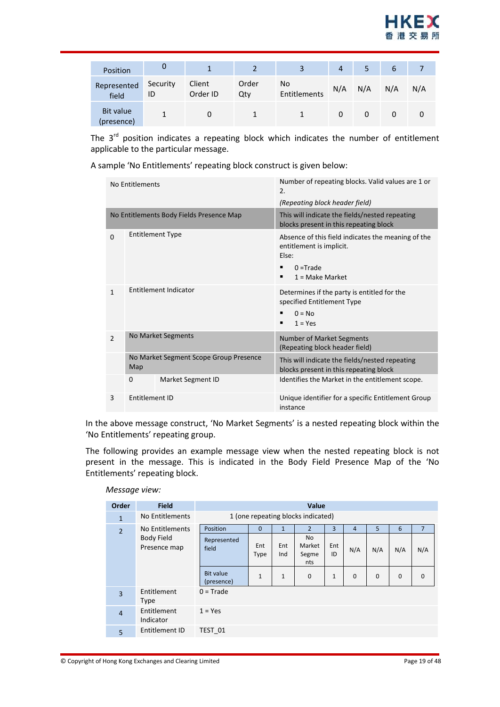

| Position                       | U              |                    |              |                    | 4   | 5   | 6   |     |
|--------------------------------|----------------|--------------------|--------------|--------------------|-----|-----|-----|-----|
| Represented<br>field           | Security<br>ID | Client<br>Order ID | Order<br>Qty | No<br>Entitlements | N/A | N/A | N/A | N/A |
| <b>Bit value</b><br>(presence) |                |                    |              |                    | 0   | 0   |     |     |

The  $3<sup>rd</sup>$  position indicates a repeating block which indicates the number of entitlement applicable to the particular message.

A sample 'No Entitlements' repeating block construct is given below:

|                            |                | No Entitlements                               |                                                                | Number of repeating blocks. Valid values are 1 or<br>2.                                                                          |  |  |
|----------------------------|----------------|-----------------------------------------------|----------------------------------------------------------------|----------------------------------------------------------------------------------------------------------------------------------|--|--|
|                            |                |                                               |                                                                | (Repeating block header field)                                                                                                   |  |  |
|                            |                |                                               | No Entitlements Body Fields Presence Map                       | This will indicate the fields/nested repeating<br>blocks present in this repeating block                                         |  |  |
|                            | $\Omega$       | <b>Entitlement Type</b>                       |                                                                | Absence of this field indicates the meaning of the<br>entitlement is implicit.<br>Else:<br>$0 =$ Trade<br>٠<br>$1 = Make Market$ |  |  |
|                            | $\mathbf{1}$   | Entitlement Indicator                         |                                                                | Determines if the party is entitled for the<br>specified Entitlement Type<br>$0 = No$<br>$1 = Yes$<br>٠                          |  |  |
|                            | $\overline{2}$ | No Market Segments                            |                                                                | <b>Number of Market Segments</b><br>(Repeating block header field)                                                               |  |  |
|                            |                | No Market Segment Scope Group Presence<br>Map |                                                                | This will indicate the fields/nested repeating<br>blocks present in this repeating block                                         |  |  |
|                            |                | $\mathbf 0$                                   | <b>Market Segment ID</b>                                       | Identifies the Market in the entitlement scope.                                                                                  |  |  |
| 3<br><b>Fntitlement ID</b> |                |                                               | Unique identifier for a specific Entitlement Group<br>instance |                                                                                                                                  |  |  |

In the above message construct, 'No Market Segments' is a nested repeating block within the 'No Entitlements' repeating group.

The following provides an example message view when the nested repeating block is not present in the message. This is indicated in the Body Field Presence Map of the 'No Entitlements' repeating block.

| Order          | <b>Field</b>                      | Value                              |              |              |                                     |              |     |              |             |                |
|----------------|-----------------------------------|------------------------------------|--------------|--------------|-------------------------------------|--------------|-----|--------------|-------------|----------------|
| $\mathbf{1}$   | No Entitlements                   | 1 (one repeating blocks indicated) |              |              |                                     |              |     |              |             |                |
| $\overline{2}$ | No Entitlements                   | Position                           | $\Omega$     | $\mathbf{1}$ | $\overline{2}$                      | 3            | 4   | 5            | 6           | $\overline{7}$ |
|                | <b>Body Field</b><br>Presence map | Represented<br>field               | Ent<br>Type  | Ent<br>Ind   | <b>No</b><br>Market<br>Segme<br>nts | Ent<br>ID    | N/A | N/A          | N/A         | N/A            |
|                |                                   | <b>Bit value</b><br>(presence)     | $\mathbf{1}$ | $\mathbf{1}$ | $\mathbf 0$                         | $\mathbf{1}$ | 0   | $\mathbf{0}$ | $\mathbf 0$ | $\mathbf 0$    |
| $\overline{3}$ | Entitlement<br><b>Type</b>        | $0 = Trade$                        |              |              |                                     |              |     |              |             |                |
| $\overline{4}$ | Entitlement<br>Indicator          | $1 = Yes$                          |              |              |                                     |              |     |              |             |                |
| 5              | Entitlement ID                    | TEST 01                            |              |              |                                     |              |     |              |             |                |

#### *Message view:*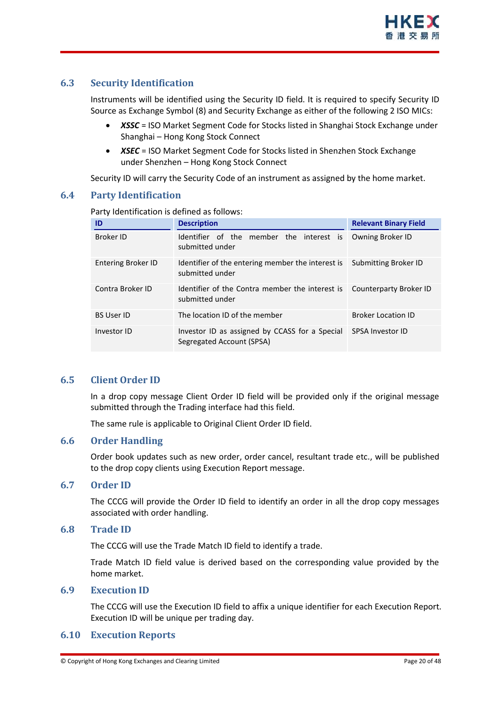#### <span id="page-19-0"></span>**6.3 Security Identification**

Instruments will be identified using the Security ID field. It is required to specify Security ID Source as Exchange Symbol (8) and Security Exchange as either of the following 2 ISO MICs:

- *XSSC* = ISO Market Segment Code for Stocks listed in Shanghai Stock Exchange under Shanghai – Hong Kong Stock Connect
- *XSEC* = ISO Market Segment Code for Stocks listed in Shenzhen Stock Exchange under Shenzhen – Hong Kong Stock Connect

Security ID will carry the Security Code of an instrument as assigned by the home market.

#### <span id="page-19-1"></span>**6.4 Party Identification**

| ID                        | <b>Description</b>                                                          | <b>Relevant Binary Field</b> |
|---------------------------|-----------------------------------------------------------------------------|------------------------------|
| <b>Broker ID</b>          | Identifier of the member the interest is<br>submitted under                 | Owning Broker ID             |
| <b>Entering Broker ID</b> | Identifier of the entering member the interest is<br>submitted under        | Submitting Broker ID         |
| Contra Broker ID          | Identifier of the Contra member the interest is<br>submitted under          | Counterparty Broker ID       |
| <b>BS User ID</b>         | The location ID of the member                                               | <b>Broker Location ID</b>    |
| Investor ID               | Investor ID as assigned by CCASS for a Special<br>Segregated Account (SPSA) | <b>SPSA Investor ID</b>      |

Party Identification is defined as follows:

#### <span id="page-19-2"></span>**6.5 Client Order ID**

In a drop copy message Client Order ID field will be provided only if the original message submitted through the Trading interface had this field.

The same rule is applicable to Original Client Order ID field.

#### <span id="page-19-3"></span>**6.6 Order Handling**

Order book updates such as new order, order cancel, resultant trade etc., will be published to the drop copy clients using Execution Report message.

#### <span id="page-19-4"></span>**6.7 Order ID**

The CCCG will provide the Order ID field to identify an order in all the drop copy messages associated with order handling.

#### <span id="page-19-5"></span>**6.8 Trade ID**

The CCCG will use the Trade Match ID field to identify a trade.

Trade Match ID field value is derived based on the corresponding value provided by the home market.

#### <span id="page-19-6"></span>**6.9 Execution ID**

The CCCG will use the Execution ID field to affix a unique identifier for each Execution Report. Execution ID will be unique per trading day.

#### <span id="page-19-7"></span>**6.10 Execution Reports**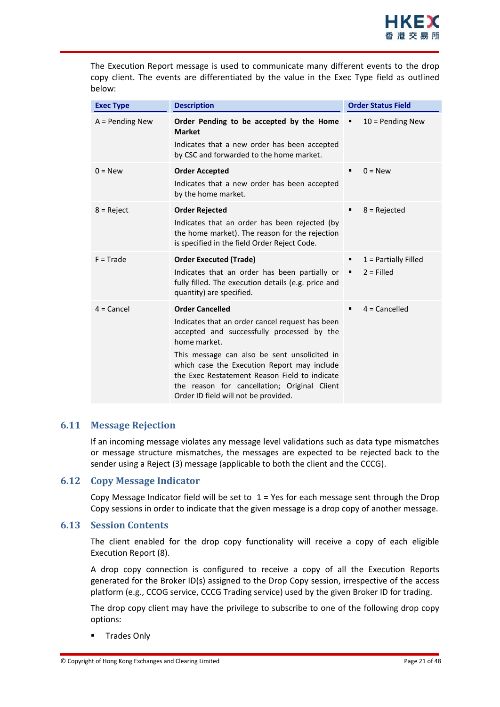

The Execution Report message is used to communicate many different events to the drop copy client. The events are differentiated by the value in the Exec Type field as outlined below:

| <b>Exec Type</b>  | <b>Description</b>                                                                                                                                                                                                                                                                                                                                                              | <b>Order Status Field</b>                        |
|-------------------|---------------------------------------------------------------------------------------------------------------------------------------------------------------------------------------------------------------------------------------------------------------------------------------------------------------------------------------------------------------------------------|--------------------------------------------------|
| $A =$ Pending New | Order Pending to be accepted by the Home<br><b>Market</b><br>Indicates that a new order has been accepted<br>by CSC and forwarded to the home market.                                                                                                                                                                                                                           | $10 =$ Pending New<br>٠                          |
| $0 = New$         | <b>Order Accepted</b><br>Indicates that a new order has been accepted<br>by the home market.                                                                                                                                                                                                                                                                                    | $0 = New$<br>٠                                   |
| $8 =$ Reject      | <b>Order Rejected</b><br>Indicates that an order has been rejected (by<br>the home market). The reason for the rejection<br>is specified in the field Order Reject Code.                                                                                                                                                                                                        | $8 =$ Rejected                                   |
| $F = Trade$       | <b>Order Executed (Trade)</b><br>Indicates that an order has been partially or<br>fully filled. The execution details (e.g. price and<br>quantity) are specified.                                                                                                                                                                                                               | $1$ = Partially Filled<br>٠<br>$2 =$ Filled<br>٠ |
| $4 =$ Cancel      | <b>Order Cancelled</b><br>Indicates that an order cancel request has been<br>accepted and successfully processed by the<br>home market.<br>This message can also be sent unsolicited in<br>which case the Execution Report may include<br>the Exec Restatement Reason Field to indicate<br>the reason for cancellation; Original Client<br>Order ID field will not be provided. | $4 =$ Cancelled                                  |

#### <span id="page-20-0"></span>**6.11 Message Rejection**

If an incoming message violates any message level validations such as data type mismatches or message structure mismatches, the messages are expected to be rejected back to the sender using a Reject (3) message (applicable to both the client and the CCCG).

#### <span id="page-20-1"></span>**6.12 Copy Message Indicator**

Copy Message Indicator field will be set to  $1$  = Yes for each message sent through the Drop Copy sessions in order to indicate that the given message is a drop copy of another message.

#### <span id="page-20-2"></span>**6.13 Session Contents**

The client enabled for the drop copy functionality will receive a copy of each eligible Execution Report (8).

A drop copy connection is configured to receive a copy of all the Execution Reports generated for the Broker ID(s) assigned to the Drop Copy session, irrespective of the access platform (e.g., CCOG service, CCCG Trading service) used by the given Broker ID for trading.

The drop copy client may have the privilege to subscribe to one of the following drop copy options:

Trades Only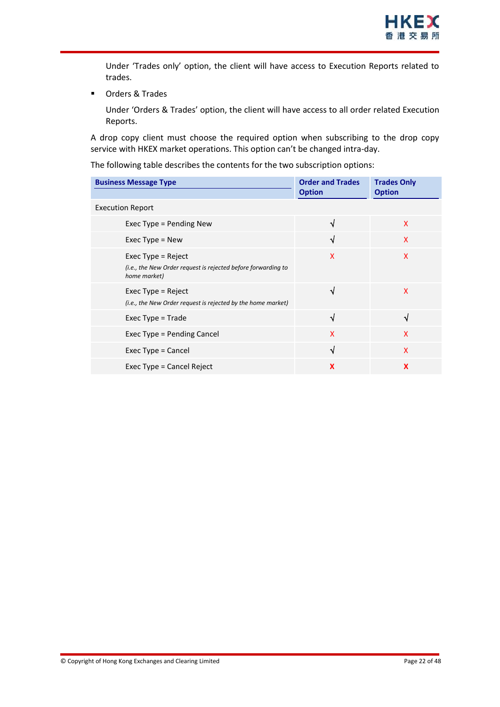Under 'Trades only' option, the client will have access to Execution Reports related to trades.

**•** Orders & Trades

Under 'Orders & Trades' option, the client will have access to all order related Execution Reports.

A drop copy client must choose the required option when subscribing to the drop copy service with HKEX market operations. This option can't be changed intra-day.

The following table describes the contents for the two subscription options:

| <b>Business Message Type</b>                                                                          | <b>Order and Trades</b> | <b>Trades Only</b> |
|-------------------------------------------------------------------------------------------------------|-------------------------|--------------------|
|                                                                                                       | <b>Option</b>           | <b>Option</b>      |
| <b>Execution Report</b>                                                                               |                         |                    |
| Exec Type = Pending New                                                                               | J                       | X                  |
| Exec Type $=$ New                                                                                     | √                       | X                  |
| Exec $Type = Reject$<br>(i.e., the New Order request is rejected before forwarding to<br>home market) | X                       | X                  |
| Exec $Type = Reject$<br>(i.e., the New Order request is rejected by the home market)                  | √                       | X                  |
| Exec $Type = Trade$                                                                                   | √                       | √                  |
| Exec Type = Pending Cancel                                                                            | X                       | $\mathsf{x}$       |
| Exec Type = Cancel                                                                                    | √                       | X                  |
| Exec Type = Cancel Reject                                                                             | X                       | X                  |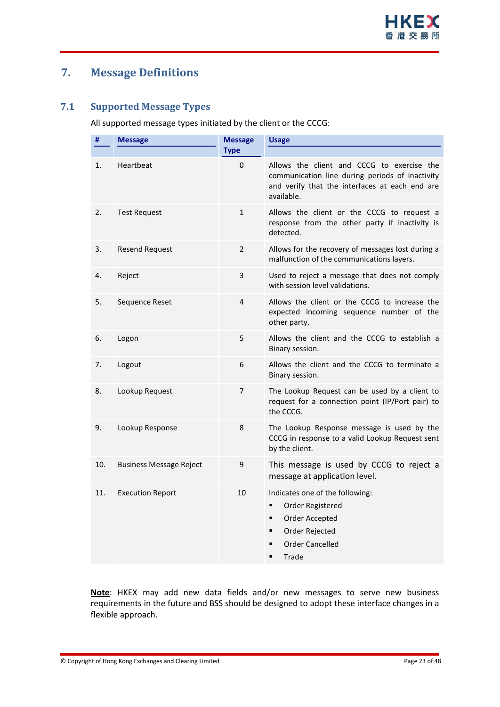# <span id="page-22-0"></span>**7. Message Definitions**

#### <span id="page-22-1"></span>**7.1 Supported Message Types**

All supported message types initiated by the client or the CCCG:

| #   | <b>Message</b>                 | <b>Message</b> | <b>Usage</b>                                                                                                                                                  |
|-----|--------------------------------|----------------|---------------------------------------------------------------------------------------------------------------------------------------------------------------|
|     |                                | <b>Type</b>    |                                                                                                                                                               |
| 1.  | Heartbeat                      | $\Omega$       | Allows the client and CCCG to exercise the<br>communication line during periods of inactivity<br>and verify that the interfaces at each end are<br>available. |
| 2.  | <b>Test Request</b>            | $\mathbf{1}$   | Allows the client or the CCCG to request a<br>response from the other party if inactivity is<br>detected.                                                     |
| 3.  | <b>Resend Request</b>          | $\overline{2}$ | Allows for the recovery of messages lost during a<br>malfunction of the communications layers.                                                                |
| 4.  | Reject                         | 3              | Used to reject a message that does not comply<br>with session level validations.                                                                              |
| 5.  | Sequence Reset                 | 4              | Allows the client or the CCCG to increase the<br>expected incoming sequence number of the<br>other party.                                                     |
| 6.  | Logon                          | 5              | Allows the client and the CCCG to establish a<br>Binary session.                                                                                              |
| 7.  | Logout                         | 6              | Allows the client and the CCCG to terminate a<br>Binary session.                                                                                              |
| 8.  | Lookup Request                 | 7              | The Lookup Request can be used by a client to<br>request for a connection point (IP/Port pair) to<br>the CCCG.                                                |
| 9.  | Lookup Response                | 8              | The Lookup Response message is used by the<br>CCCG in response to a valid Lookup Request sent<br>by the client.                                               |
| 10. | <b>Business Message Reject</b> | 9              | This message is used by CCCG to reject a<br>message at application level.                                                                                     |
| 11. | <b>Execution Report</b>        | 10             | Indicates one of the following:<br>Order Registered<br>٠<br>Order Accepted<br>٠<br>Order Rejected<br>■<br><b>Order Cancelled</b><br>Trade<br>$\blacksquare$   |

**Note**: HKEX may add new data fields and/or new messages to serve new business requirements in the future and BSS should be designed to adopt these interface changes in a flexible approach.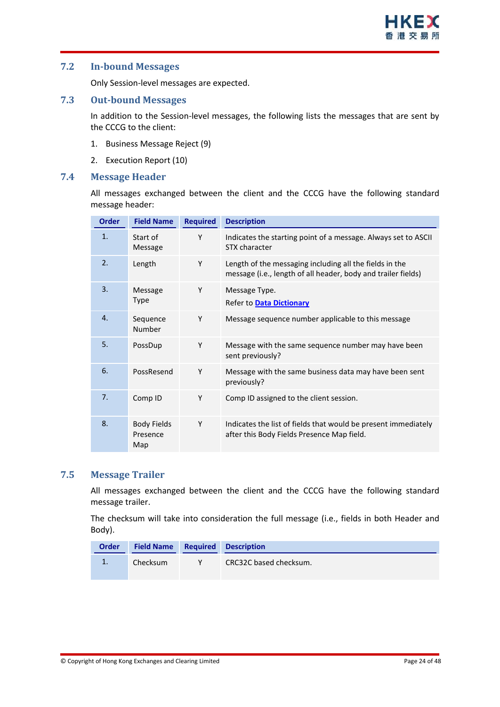#### <span id="page-23-0"></span>**7.2 In-bound Messages**

Only Session-level messages are expected.

#### <span id="page-23-1"></span>**7.3 Out-bound Messages**

In addition to the Session-level messages, the following lists the messages that are sent by the CCCG to the client:

- 1. Business Message Reject (9)
- 2. Execution Report (10)

#### <span id="page-23-2"></span>**7.4 Message Header**

All messages exchanged between the client and the CCCG have the following standard message header:

| <b>Order</b>   | <b>Field Name</b>                     | <b>Required</b> | <b>Description</b>                                                                                                       |
|----------------|---------------------------------------|-----------------|--------------------------------------------------------------------------------------------------------------------------|
| 1.             | Start of<br>Message                   | Y               | Indicates the starting point of a message. Always set to ASCII<br>STX character                                          |
| 2.             | Length                                | Y               | Length of the messaging including all the fields in the<br>message (i.e., length of all header, body and trailer fields) |
| 3.             | Message<br><b>Type</b>                | Y               | Message Type.<br>Refer to Data Dictionary                                                                                |
| $\mathbf{4}$ . | Sequence<br>Number                    | Y               | Message sequence number applicable to this message                                                                       |
| 5.             | PossDup                               | Y               | Message with the same sequence number may have been<br>sent previously?                                                  |
| 6.             | PossResend                            | Y               | Message with the same business data may have been sent<br>previously?                                                    |
| 7 <sub>1</sub> | Comp ID                               | Y               | Comp ID assigned to the client session.                                                                                  |
| 8.             | <b>Body Fields</b><br>Presence<br>Map | Y               | Indicates the list of fields that would be present immediately<br>after this Body Fields Presence Map field.             |

#### <span id="page-23-3"></span>**7.5 Message Trailer**

All messages exchanged between the client and the CCCG have the following standard message trailer.

The checksum will take into consideration the full message (i.e., fields in both Header and Body).

| <b>Order</b> | <b>Field Name Required Description</b> |                        |
|--------------|----------------------------------------|------------------------|
| 1.           | Checksum                               | CRC32C based checksum. |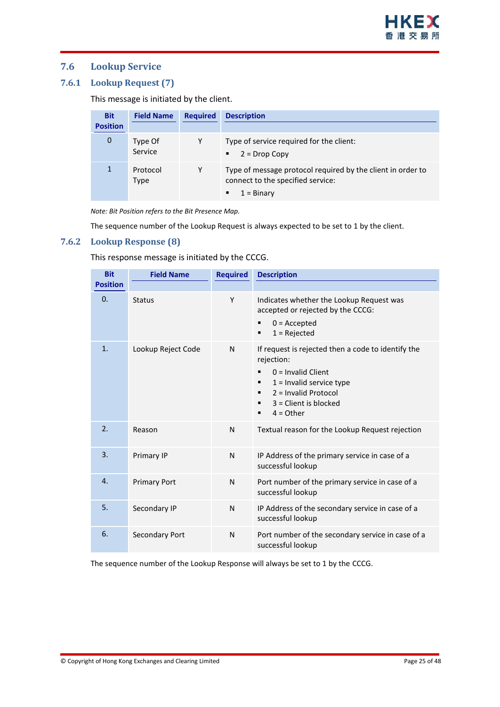#### <span id="page-24-0"></span>**7.6 Lookup Service**

#### <span id="page-24-1"></span>**7.6.1 Lookup Request (7)**

This message is initiated by the client.

| <b>Bit</b><br><b>Position</b> | <b>Field Name</b>  | <b>Required</b> | <b>Description</b>                                                                                                           |
|-------------------------------|--------------------|-----------------|------------------------------------------------------------------------------------------------------------------------------|
| 0                             | Type Of<br>Service | Y               | Type of service required for the client:<br>$2 = Drop Copy$<br>٠                                                             |
|                               | Protocol<br>Type   | Υ               | Type of message protocol required by the client in order to<br>connect to the specified service:<br>$1 = \text{Binary}$<br>٠ |

*Note: Bit Position refers to the Bit Presence Map.*

The sequence number of the Lookup Request is always expected to be set to 1 by the client.

#### <span id="page-24-2"></span>**7.6.2 Lookup Response (8)**

This response message is initiated by the CCCG.

| <b>Bit</b>      | <b>Field Name</b>   | <b>Required</b> | <b>Description</b>                                                                                                                                                                                             |
|-----------------|---------------------|-----------------|----------------------------------------------------------------------------------------------------------------------------------------------------------------------------------------------------------------|
| <b>Position</b> |                     |                 |                                                                                                                                                                                                                |
| $\Omega$ .      | <b>Status</b>       | Y               | Indicates whether the Lookup Request was<br>accepted or rejected by the CCCG:<br>$0 =$ Accepted<br>٠<br>$1 =$ Rejected<br>٠                                                                                    |
| $\mathbf{1}$ .  | Lookup Reject Code  | N               | If request is rejected then a code to identify the<br>rejection:<br>$0 =$ Invalid Client<br>$1 =$ Invalid service type<br>٠<br>$2 =$ Invalid Protocol<br>٠<br>$3 =$ Client is blocked<br>٠<br>$4 = Other$<br>٠ |
| 2.              | Reason              | N               | Textual reason for the Lookup Request rejection                                                                                                                                                                |
| 3.              | Primary IP          | N               | IP Address of the primary service in case of a<br>successful lookup                                                                                                                                            |
| $\mathbf{4}$ .  | <b>Primary Port</b> | N               | Port number of the primary service in case of a<br>successful lookup                                                                                                                                           |
| 5.              | Secondary IP        | N               | IP Address of the secondary service in case of a<br>successful lookup                                                                                                                                          |
| 6.              | Secondary Port      | N               | Port number of the secondary service in case of a<br>successful lookup                                                                                                                                         |

The sequence number of the Lookup Response will always be set to 1 by the CCCG.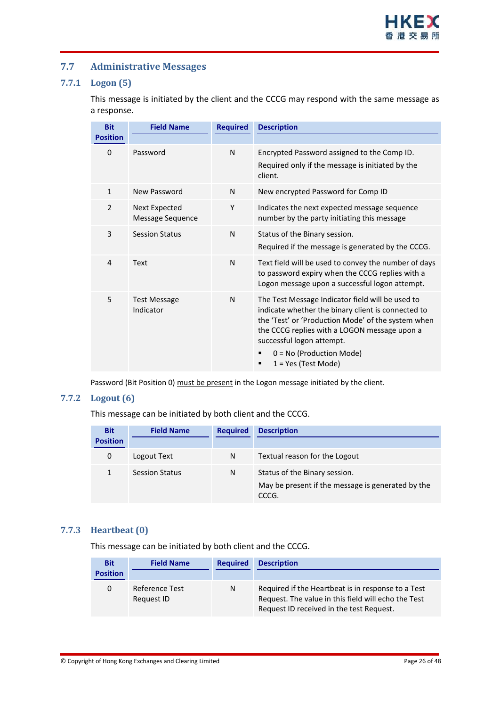#### <span id="page-25-0"></span>**7.7 Administrative Messages**

#### <span id="page-25-1"></span>**7.7.1 Logon (5)**

This message is initiated by the client and the CCCG may respond with the same message as a response.

| <b>Bit</b><br><b>Position</b> | <b>Field Name</b>                 | <b>Required</b> | <b>Description</b>                                                                                                                                                                                                                                                                               |
|-------------------------------|-----------------------------------|-----------------|--------------------------------------------------------------------------------------------------------------------------------------------------------------------------------------------------------------------------------------------------------------------------------------------------|
| 0                             | Password                          | N               | Encrypted Password assigned to the Comp ID.<br>Required only if the message is initiated by the<br>client.                                                                                                                                                                                       |
| $\mathbf{1}$                  | New Password                      | N               | New encrypted Password for Comp ID                                                                                                                                                                                                                                                               |
| $\overline{2}$                | Next Expected<br>Message Sequence | Y               | Indicates the next expected message sequence<br>number by the party initiating this message                                                                                                                                                                                                      |
| 3                             | <b>Session Status</b>             | N               | Status of the Binary session.<br>Required if the message is generated by the CCCG.                                                                                                                                                                                                               |
| $\overline{4}$                | Text                              | N               | Text field will be used to convey the number of days<br>to password expiry when the CCCG replies with a<br>Logon message upon a successful logon attempt.                                                                                                                                        |
| 5                             | <b>Test Message</b><br>Indicator  | N               | The Test Message Indicator field will be used to<br>indicate whether the binary client is connected to<br>the 'Test' or 'Production Mode' of the system when<br>the CCCG replies with a LOGON message upon a<br>successful logon attempt.<br>$0 = No$ (Production Mode)<br>$1 = Yes$ (Test Mode) |

Password (Bit Position 0) must be present in the Logon message initiated by the client.

#### <span id="page-25-2"></span>**7.7.2 Logout (6)**

This message can be initiated by both client and the CCCG.

| <b>Bit</b><br><b>Position</b> | <b>Field Name</b>     | <b>Required</b> | <b>Description</b>                                                                          |
|-------------------------------|-----------------------|-----------------|---------------------------------------------------------------------------------------------|
| 0                             | Logout Text           | N               | Textual reason for the Logout                                                               |
|                               | <b>Session Status</b> | N               | Status of the Binary session.<br>May be present if the message is generated by the<br>CCCG. |

#### <span id="page-25-3"></span>**7.7.3 Heartbeat (0)**

This message can be initiated by both client and the CCCG.

| <b>Bit</b>      | <b>Field Name</b>                   | <b>Required</b> | <b>Description</b>                                                                                                                                    |
|-----------------|-------------------------------------|-----------------|-------------------------------------------------------------------------------------------------------------------------------------------------------|
| <b>Position</b> |                                     |                 |                                                                                                                                                       |
| 0               | <b>Reference Test</b><br>Request ID | N               | Required if the Heartbeat is in response to a Test<br>Request. The value in this field will echo the Test<br>Request ID received in the test Request. |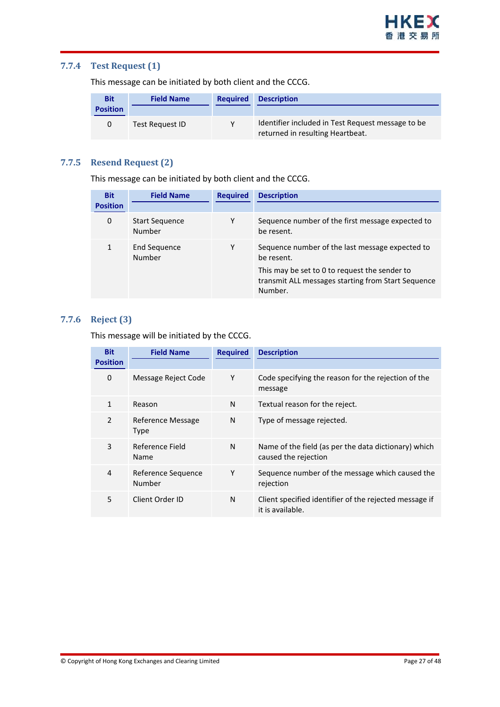#### <span id="page-26-0"></span>**7.7.4 Test Request (1)**

This message can be initiated by both client and the CCCG.

| <b>Bit</b><br><b>Position</b> | <b>Field Name</b> | <b>Required</b> | <b>Description</b>                                                                    |
|-------------------------------|-------------------|-----------------|---------------------------------------------------------------------------------------|
|                               | Test Request ID   |                 | Identifier included in Test Request message to be<br>returned in resulting Heartbeat. |

#### <span id="page-26-1"></span>**7.7.5 Resend Request (2)**

This message can be initiated by both client and the CCCG.

| <b>Bit</b>      | <b>Field Name</b>                      | <b>Required</b> | <b>Description</b>                                                                                                                                                              |
|-----------------|----------------------------------------|-----------------|---------------------------------------------------------------------------------------------------------------------------------------------------------------------------------|
| <b>Position</b> |                                        |                 |                                                                                                                                                                                 |
| 0               | <b>Start Sequence</b><br><b>Number</b> | Υ               | Sequence number of the first message expected to<br>be resent.                                                                                                                  |
|                 | End Sequence<br>Number                 | Υ               | Sequence number of the last message expected to<br>be resent.<br>This may be set to 0 to request the sender to<br>transmit ALL messages starting from Start Sequence<br>Number. |

#### <span id="page-26-2"></span>**7.7.6 Reject (3)**

This message will be initiated by the CCCG.

| <b>Bit</b>      | <b>Field Name</b>            | <b>Required</b> | <b>Description</b>                                                           |
|-----------------|------------------------------|-----------------|------------------------------------------------------------------------------|
| <b>Position</b> |                              |                 |                                                                              |
| 0               | Message Reject Code          | Υ               | Code specifying the reason for the rejection of the<br>message               |
| 1               | Reason                       | N               | Textual reason for the reject.                                               |
| $\overline{2}$  | Reference Message<br>Type    | N               | Type of message rejected.                                                    |
| 3               | Reference Field<br>Name      | N               | Name of the field (as per the data dictionary) which<br>caused the rejection |
| 4               | Reference Sequence<br>Number | Υ               | Sequence number of the message which caused the<br>rejection                 |
| 5               | Client Order ID              | N               | Client specified identifier of the rejected message if<br>it is available.   |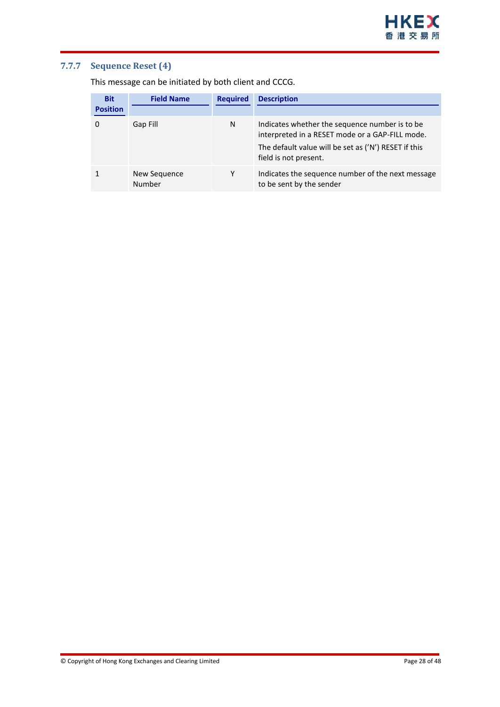#### <span id="page-27-0"></span>**7.7.7 Sequence Reset (4)**

This message can be initiated by both client and CCCG.

| <b>Bit</b><br><b>Position</b> | <b>Field Name</b>      | <b>Required</b> | <b>Description</b>                                                                                                                                                                 |
|-------------------------------|------------------------|-----------------|------------------------------------------------------------------------------------------------------------------------------------------------------------------------------------|
|                               | Gap Fill               | N               | Indicates whether the sequence number is to be<br>interpreted in a RESET mode or a GAP-FILL mode.<br>The default value will be set as ('N') RESET if this<br>field is not present. |
|                               | New Sequence<br>Number | γ               | Indicates the sequence number of the next message<br>to be sent by the sender                                                                                                      |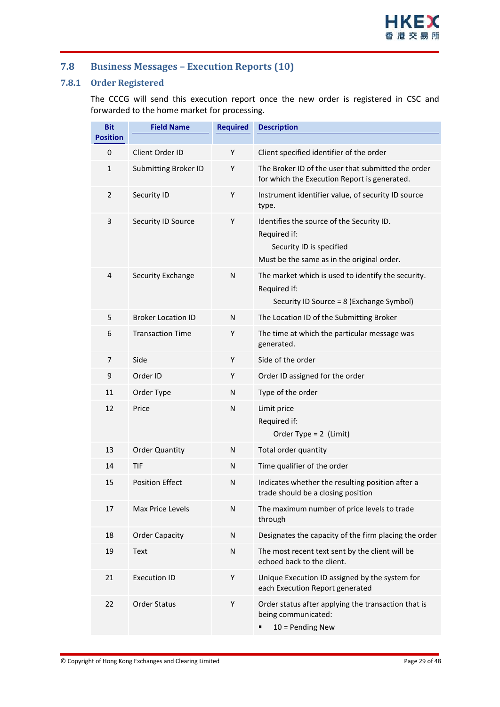#### <span id="page-28-0"></span>**7.8 Business Messages – Execution Reports (10)**

#### <span id="page-28-1"></span>**7.8.1 Order Registered**

The CCCG will send this execution report once the new order is registered in CSC and forwarded to the home market for processing.

| <b>Bit</b>      | <b>Field Name</b>           | <b>Required</b> | <b>Description</b>                                                                                                                  |
|-----------------|-----------------------------|-----------------|-------------------------------------------------------------------------------------------------------------------------------------|
| <b>Position</b> |                             |                 |                                                                                                                                     |
| 0               | Client Order ID             | Y               | Client specified identifier of the order                                                                                            |
| $\mathbf{1}$    | <b>Submitting Broker ID</b> | Y               | The Broker ID of the user that submitted the order<br>for which the Execution Report is generated.                                  |
| $\overline{2}$  | Security ID                 | Υ               | Instrument identifier value, of security ID source<br>type.                                                                         |
| 3               | Security ID Source          | Y               | Identifies the source of the Security ID.<br>Required if:<br>Security ID is specified<br>Must be the same as in the original order. |
| 4               | Security Exchange           | N               | The market which is used to identify the security.<br>Required if:<br>Security ID Source = 8 (Exchange Symbol)                      |
| 5               | <b>Broker Location ID</b>   | N               | The Location ID of the Submitting Broker                                                                                            |
| 6               | <b>Transaction Time</b>     | Y               | The time at which the particular message was<br>generated.                                                                          |
| 7               | Side                        | Υ               | Side of the order                                                                                                                   |
| 9               | Order ID                    | Υ               | Order ID assigned for the order                                                                                                     |
| 11              | Order Type                  | N               | Type of the order                                                                                                                   |
| 12              | Price                       | N               | Limit price<br>Required if:<br>Order Type = $2$ (Limit)                                                                             |
| 13              | <b>Order Quantity</b>       | N               | Total order quantity                                                                                                                |
| 14              | <b>TIF</b>                  | N               | Time qualifier of the order                                                                                                         |
| 15              | <b>Position Effect</b>      | N               | Indicates whether the resulting position after a<br>trade should be a closing position                                              |
| 17              | <b>Max Price Levels</b>     | N               | The maximum number of price levels to trade<br>through                                                                              |
| 18              | <b>Order Capacity</b>       | N               | Designates the capacity of the firm placing the order                                                                               |
| 19              | Text                        | N               | The most recent text sent by the client will be<br>echoed back to the client.                                                       |
| 21              | <b>Execution ID</b>         | Υ               | Unique Execution ID assigned by the system for<br>each Execution Report generated                                                   |
| 22              | <b>Order Status</b>         | Υ               | Order status after applying the transaction that is<br>being communicated:<br>$10 =$ Pending New<br>٠                               |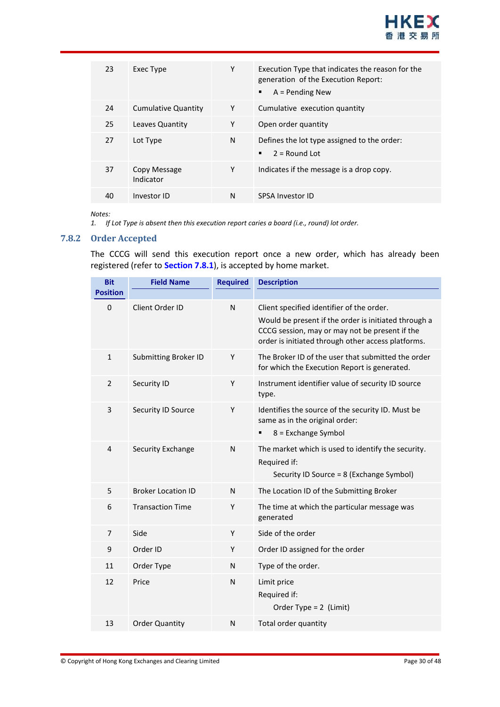

| 23 | Exec Type                  | Υ | Execution Type that indicates the reason for the<br>generation of the Execution Report:<br>$A =$ Pending New |
|----|----------------------------|---|--------------------------------------------------------------------------------------------------------------|
| 24 | <b>Cumulative Quantity</b> | Y | Cumulative execution quantity                                                                                |
| 25 | Leaves Quantity            | Υ | Open order quantity                                                                                          |
| 27 | Lot Type                   | N | Defines the lot type assigned to the order:<br>$2 =$ Round Lot                                               |
| 37 | Copy Message<br>Indicator  | Υ | Indicates if the message is a drop copy.                                                                     |
| 40 | Investor ID                | N | <b>SPSA Investor ID</b>                                                                                      |

*Notes:* 

*1. If Lot Type is absent then this execution report caries a board (i.e., round) lot order.*

#### <span id="page-29-0"></span>**7.8.2 Order Accepted**

The CCCG will send this execution report once a new order, which has already been registered (refer to **Section [7.8.1](#page-28-1)**), is accepted by home market.

| <b>Bit</b>      | <b>Field Name</b>           | <b>Required</b> | <b>Description</b>                                                                                                                                                                                        |
|-----------------|-----------------------------|-----------------|-----------------------------------------------------------------------------------------------------------------------------------------------------------------------------------------------------------|
| <b>Position</b> |                             |                 |                                                                                                                                                                                                           |
| $\mathbf{0}$    | Client Order ID             | N               | Client specified identifier of the order.<br>Would be present if the order is initiated through a<br>CCCG session, may or may not be present if the<br>order is initiated through other access platforms. |
| $\mathbf{1}$    | <b>Submitting Broker ID</b> | Y               | The Broker ID of the user that submitted the order<br>for which the Execution Report is generated.                                                                                                        |
| $\overline{2}$  | Security ID                 | Y               | Instrument identifier value of security ID source<br>type.                                                                                                                                                |
| 3               | Security ID Source          | Y               | Identifies the source of the security ID. Must be<br>same as in the original order:<br>8 = Exchange Symbol                                                                                                |
| 4               | <b>Security Exchange</b>    | N               | The market which is used to identify the security.<br>Required if:<br>Security ID Source = 8 (Exchange Symbol)                                                                                            |
| 5               | <b>Broker Location ID</b>   | N               | The Location ID of the Submitting Broker                                                                                                                                                                  |
| 6               | <b>Transaction Time</b>     | Y               | The time at which the particular message was<br>generated                                                                                                                                                 |
| $\overline{7}$  | Side                        | Υ               | Side of the order                                                                                                                                                                                         |
| 9               | Order ID                    | Y               | Order ID assigned for the order                                                                                                                                                                           |
| 11              | Order Type                  | N               | Type of the order.                                                                                                                                                                                        |
| 12              | Price                       | N               | Limit price<br>Required if:<br>Order Type = $2$ (Limit)                                                                                                                                                   |
| 13              | <b>Order Quantity</b>       | N               | Total order quantity                                                                                                                                                                                      |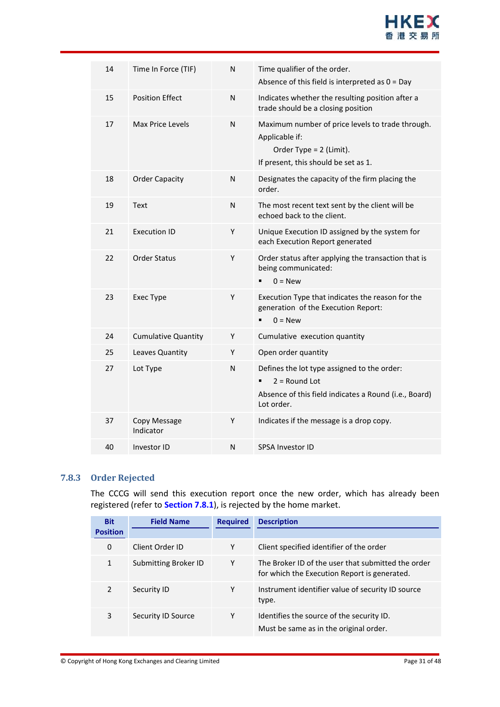

| 14 | Time In Force (TIF)        | N | Time qualifier of the order.<br>Absence of this field is interpreted as $0 = Day$                                                       |
|----|----------------------------|---|-----------------------------------------------------------------------------------------------------------------------------------------|
| 15 | <b>Position Effect</b>     | N | Indicates whether the resulting position after a<br>trade should be a closing position                                                  |
| 17 | Max Price Levels           | N | Maximum number of price levels to trade through.<br>Applicable if:<br>Order Type = $2$ (Limit).<br>If present, this should be set as 1. |
| 18 | <b>Order Capacity</b>      | N | Designates the capacity of the firm placing the<br>order.                                                                               |
| 19 | Text                       | N | The most recent text sent by the client will be<br>echoed back to the client.                                                           |
| 21 | <b>Execution ID</b>        | Y | Unique Execution ID assigned by the system for<br>each Execution Report generated                                                       |
| 22 | Order Status               | Υ | Order status after applying the transaction that is<br>being communicated:<br>$0 = New$                                                 |
| 23 | Exec Type                  | Υ | Execution Type that indicates the reason for the<br>generation of the Execution Report:<br>$0 = New$                                    |
| 24 | <b>Cumulative Quantity</b> | Y | Cumulative execution quantity                                                                                                           |
| 25 | Leaves Quantity            | Y | Open order quantity                                                                                                                     |
| 27 | Lot Type                   | N | Defines the lot type assigned to the order:<br>$2 =$ Round Lot<br>Absence of this field indicates a Round (i.e., Board)<br>Lot order.   |
| 37 | Copy Message<br>Indicator  | Y | Indicates if the message is a drop copy.                                                                                                |
| 40 | Investor ID                | N | <b>SPSA Investor ID</b>                                                                                                                 |

#### <span id="page-30-0"></span>**7.8.3 Order Rejected**

The CCCG will send this execution report once the new order, which has already been registered (refer to **Section [7.8.1](#page-28-1)**), is rejected by the home market.

| <b>Bit</b>      | <b>Field Name</b>    | <b>Required</b> | <b>Description</b>                                                                                 |
|-----------------|----------------------|-----------------|----------------------------------------------------------------------------------------------------|
| <b>Position</b> |                      |                 |                                                                                                    |
| 0               | Client Order ID      | Υ               | Client specified identifier of the order                                                           |
| 1               | Submitting Broker ID | Υ               | The Broker ID of the user that submitted the order<br>for which the Execution Report is generated. |
| $\mathcal{P}$   | Security ID          | Υ               | Instrument identifier value of security ID source<br>type.                                         |
| 3               | Security ID Source   | Υ               | Identifies the source of the security ID.<br>Must be same as in the original order.                |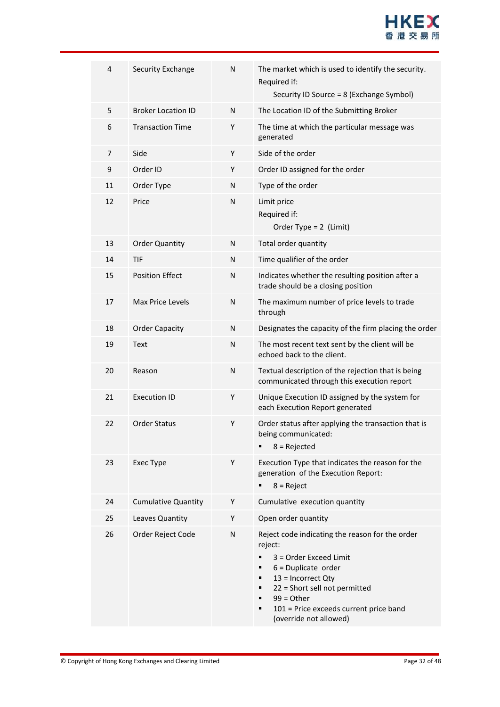

| $\overline{4}$ | <b>Security Exchange</b>   | N            | The market which is used to identify the security.<br>Required if:<br>Security ID Source = 8 (Exchange Symbol)                                                                                                                                                                         |
|----------------|----------------------------|--------------|----------------------------------------------------------------------------------------------------------------------------------------------------------------------------------------------------------------------------------------------------------------------------------------|
| 5              | <b>Broker Location ID</b>  | N            | The Location ID of the Submitting Broker                                                                                                                                                                                                                                               |
| 6              | <b>Transaction Time</b>    | Y            | The time at which the particular message was<br>generated                                                                                                                                                                                                                              |
| $\overline{7}$ | Side                       | Υ            | Side of the order                                                                                                                                                                                                                                                                      |
| 9              | Order ID                   | Y            | Order ID assigned for the order                                                                                                                                                                                                                                                        |
| 11             | Order Type                 | N            | Type of the order                                                                                                                                                                                                                                                                      |
| 12             | Price                      | N            | Limit price<br>Required if:<br>Order Type = $2$ (Limit)                                                                                                                                                                                                                                |
| 13             | <b>Order Quantity</b>      | N            | Total order quantity                                                                                                                                                                                                                                                                   |
| 14             | <b>TIF</b>                 | N            | Time qualifier of the order                                                                                                                                                                                                                                                            |
| 15             | <b>Position Effect</b>     | ${\sf N}$    | Indicates whether the resulting position after a<br>trade should be a closing position                                                                                                                                                                                                 |
| 17             | <b>Max Price Levels</b>    | ${\sf N}$    | The maximum number of price levels to trade<br>through                                                                                                                                                                                                                                 |
| 18             | <b>Order Capacity</b>      | N            | Designates the capacity of the firm placing the order                                                                                                                                                                                                                                  |
| 19             | Text                       | $\mathsf{N}$ | The most recent text sent by the client will be<br>echoed back to the client.                                                                                                                                                                                                          |
| 20             | Reason                     | $\mathsf{N}$ | Textual description of the rejection that is being<br>communicated through this execution report                                                                                                                                                                                       |
| 21             | <b>Execution ID</b>        | Υ            | Unique Execution ID assigned by the system for<br>each Execution Report generated                                                                                                                                                                                                      |
| 22             | <b>Order Status</b>        | Y            | Order status after applying the transaction that is<br>being communicated:<br>$8 =$ Rejected<br>٠                                                                                                                                                                                      |
| 23             | Exec Type                  | Y            | Execution Type that indicates the reason for the<br>generation of the Execution Report:<br>$8 =$ Reject                                                                                                                                                                                |
| 24             | <b>Cumulative Quantity</b> | Y            | Cumulative execution quantity                                                                                                                                                                                                                                                          |
| 25             | Leaves Quantity            | Υ            | Open order quantity                                                                                                                                                                                                                                                                    |
| 26             | Order Reject Code          | N            | Reject code indicating the reason for the order<br>reject:<br>٠<br>3 = Order Exceed Limit<br>$6$ = Duplicate order<br>٠<br>13 = Incorrect Qty<br>٠<br>22 = Short sell not permitted<br>٠<br>$99 = Other$<br>٠<br>101 = Price exceeds current price band<br>٠<br>(override not allowed) |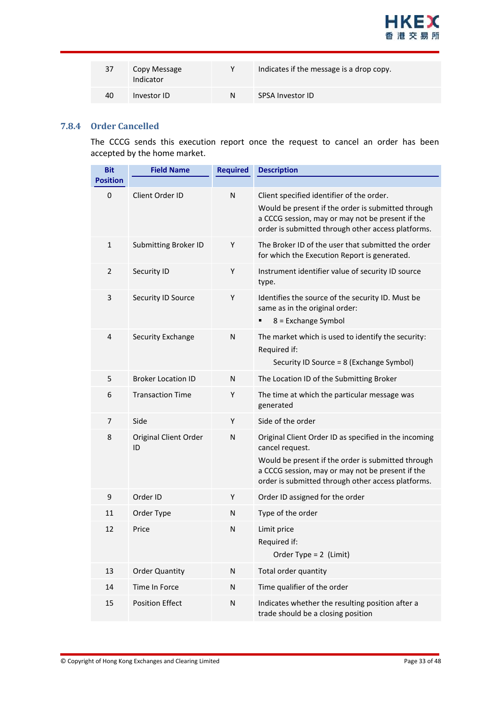

| 37 | Copy Message<br>Indicator | v | Indicates if the message is a drop copy. |
|----|---------------------------|---|------------------------------------------|
| 40 | Investor ID               | N | <b>SPSA Investor ID</b>                  |

#### <span id="page-32-0"></span>**7.8.4 Order Cancelled**

The CCCG sends this execution report once the request to cancel an order has been accepted by the home market.

| <b>Bit</b>      | <b>Field Name</b>                  | <b>Required</b> | <b>Description</b>                                                                                                                                                                                                                       |
|-----------------|------------------------------------|-----------------|------------------------------------------------------------------------------------------------------------------------------------------------------------------------------------------------------------------------------------------|
| <b>Position</b> |                                    |                 |                                                                                                                                                                                                                                          |
| $\mathbf{0}$    | Client Order ID                    | N               | Client specified identifier of the order.<br>Would be present if the order is submitted through<br>a CCCG session, may or may not be present if the<br>order is submitted through other access platforms.                                |
| $\mathbf{1}$    | <b>Submitting Broker ID</b>        | Y               | The Broker ID of the user that submitted the order<br>for which the Execution Report is generated.                                                                                                                                       |
| 2               | Security ID                        | Υ               | Instrument identifier value of security ID source<br>type.                                                                                                                                                                               |
| 3               | Security ID Source                 | Y               | Identifies the source of the security ID. Must be<br>same as in the original order:<br>8 = Exchange Symbol                                                                                                                               |
| $\overline{4}$  | Security Exchange                  | N               | The market which is used to identify the security:<br>Required if:<br>Security ID Source = 8 (Exchange Symbol)                                                                                                                           |
| 5               | <b>Broker Location ID</b>          | N               | The Location ID of the Submitting Broker                                                                                                                                                                                                 |
| 6               | <b>Transaction Time</b>            | Υ               | The time at which the particular message was<br>generated                                                                                                                                                                                |
| 7               | Side                               | Y               | Side of the order                                                                                                                                                                                                                        |
| 8               | <b>Original Client Order</b><br>ID | N               | Original Client Order ID as specified in the incoming<br>cancel request.<br>Would be present if the order is submitted through<br>a CCCG session, may or may not be present if the<br>order is submitted through other access platforms. |
| 9               | Order ID                           | Υ               | Order ID assigned for the order                                                                                                                                                                                                          |
| 11              | Order Type                         | N               | Type of the order                                                                                                                                                                                                                        |
| 12              | Price                              | N               | Limit price<br>Required if:<br>Order Type = $2$ (Limit)                                                                                                                                                                                  |
| 13              | <b>Order Quantity</b>              | N               | Total order quantity                                                                                                                                                                                                                     |
| 14              | Time In Force                      | N               | Time qualifier of the order                                                                                                                                                                                                              |
| 15              | <b>Position Effect</b>             | N               | Indicates whether the resulting position after a<br>trade should be a closing position                                                                                                                                                   |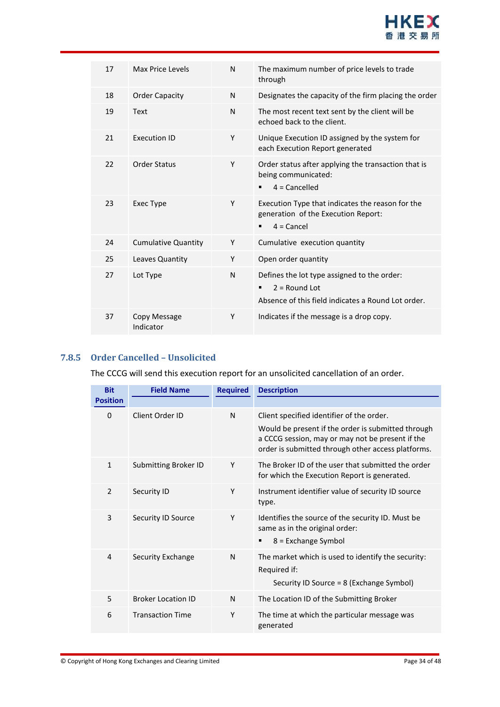

| 17 | Max Price Levels           | N | The maximum number of price levels to trade<br>through                                                                    |
|----|----------------------------|---|---------------------------------------------------------------------------------------------------------------------------|
| 18 | <b>Order Capacity</b>      | N | Designates the capacity of the firm placing the order                                                                     |
| 19 | Text                       | N | The most recent text sent by the client will be<br>echoed back to the client.                                             |
| 21 | <b>Execution ID</b>        | Υ | Unique Execution ID assigned by the system for<br>each Execution Report generated                                         |
| 22 | <b>Order Status</b>        | Y | Order status after applying the transaction that is<br>being communicated:<br>$4 =$ Cancelled                             |
| 23 | <b>Exec Type</b>           | Υ | Execution Type that indicates the reason for the<br>generation of the Execution Report:<br>$4 =$ Cancel                   |
| 24 | <b>Cumulative Quantity</b> | Y | Cumulative execution quantity                                                                                             |
| 25 | Leaves Quantity            | Y | Open order quantity                                                                                                       |
| 27 | Lot Type                   | N | Defines the lot type assigned to the order:<br>$2 =$ Round Lot<br>٠<br>Absence of this field indicates a Round Lot order. |
| 37 | Copy Message<br>Indicator  | Υ | Indicates if the message is a drop copy.                                                                                  |

#### <span id="page-33-0"></span>**7.8.5 Order Cancelled – Unsolicited**

The CCCG will send this execution report for an unsolicited cancellation of an order.

| <b>Bit</b>      | <b>Field Name</b>           | <b>Required</b> | <b>Description</b>                                                                                                                                           |
|-----------------|-----------------------------|-----------------|--------------------------------------------------------------------------------------------------------------------------------------------------------------|
| <b>Position</b> |                             |                 |                                                                                                                                                              |
| 0               | Client Order ID             | N               | Client specified identifier of the order.                                                                                                                    |
|                 |                             |                 | Would be present if the order is submitted through<br>a CCCG session, may or may not be present if the<br>order is submitted through other access platforms. |
| $\mathbf{1}$    | <b>Submitting Broker ID</b> | Υ               | The Broker ID of the user that submitted the order<br>for which the Execution Report is generated.                                                           |
| $\overline{2}$  | Security ID                 | Υ               | Instrument identifier value of security ID source<br>type.                                                                                                   |
| 3               | Security ID Source          | Y               | Identifies the source of the security ID. Must be<br>same as in the original order:<br>$8$ = Exchange Symbol<br>٠                                            |
| 4               | Security Exchange           | N               | The market which is used to identify the security:<br>Required if:<br>Security ID Source = 8 (Exchange Symbol)                                               |
| 5               | <b>Broker Location ID</b>   | N               | The Location ID of the Submitting Broker                                                                                                                     |
| 6               | <b>Transaction Time</b>     | Υ               | The time at which the particular message was<br>generated                                                                                                    |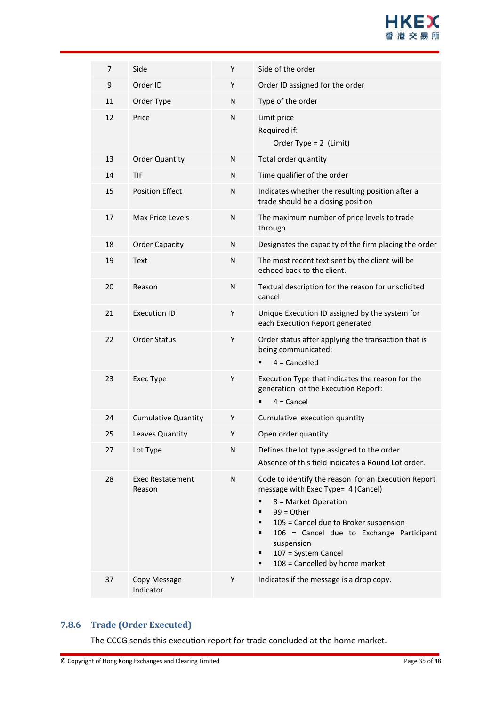

| 7  | Side                              | Y | Side of the order                                                                                                                                                                                                                                                                                       |
|----|-----------------------------------|---|---------------------------------------------------------------------------------------------------------------------------------------------------------------------------------------------------------------------------------------------------------------------------------------------------------|
| 9  | Order ID                          | Υ | Order ID assigned for the order                                                                                                                                                                                                                                                                         |
| 11 | Order Type                        | N | Type of the order                                                                                                                                                                                                                                                                                       |
| 12 | Price                             | N | Limit price<br>Required if:<br>Order Type = $2$ (Limit)                                                                                                                                                                                                                                                 |
| 13 | <b>Order Quantity</b>             | N | Total order quantity                                                                                                                                                                                                                                                                                    |
| 14 | TIF                               | N | Time qualifier of the order                                                                                                                                                                                                                                                                             |
| 15 | <b>Position Effect</b>            | N | Indicates whether the resulting position after a<br>trade should be a closing position                                                                                                                                                                                                                  |
| 17 | Max Price Levels                  | N | The maximum number of price levels to trade<br>through                                                                                                                                                                                                                                                  |
| 18 | <b>Order Capacity</b>             | N | Designates the capacity of the firm placing the order                                                                                                                                                                                                                                                   |
| 19 | Text                              | N | The most recent text sent by the client will be<br>echoed back to the client.                                                                                                                                                                                                                           |
| 20 | Reason                            | N | Textual description for the reason for unsolicited<br>cancel                                                                                                                                                                                                                                            |
| 21 | <b>Execution ID</b>               | Y | Unique Execution ID assigned by the system for<br>each Execution Report generated                                                                                                                                                                                                                       |
| 22 | <b>Order Status</b>               | Υ | Order status after applying the transaction that is<br>being communicated:<br>$4 =$ Cancelled                                                                                                                                                                                                           |
| 23 | Exec Type                         | Y | Execution Type that indicates the reason for the<br>generation of the Execution Report:<br>$4 =$ Cancel                                                                                                                                                                                                 |
| 24 | <b>Cumulative Quantity</b>        | Y | Cumulative execution quantity                                                                                                                                                                                                                                                                           |
| 25 | Leaves Quantity                   | Υ | Open order quantity                                                                                                                                                                                                                                                                                     |
| 27 | Lot Type                          | N | Defines the lot type assigned to the order.<br>Absence of this field indicates a Round Lot order.                                                                                                                                                                                                       |
| 28 | <b>Exec Restatement</b><br>Reason | N | Code to identify the reason for an Execution Report<br>message with Exec Type= 4 (Cancel)<br>8 = Market Operation<br>$99 = Other$<br>105 = Cancel due to Broker suspension<br>106 = Cancel due to Exchange Participant<br>suspension<br>107 = System Cancel<br>٠<br>108 = Cancelled by home market<br>■ |
| 37 | Copy Message<br>Indicator         | Y | Indicates if the message is a drop copy.                                                                                                                                                                                                                                                                |

#### <span id="page-34-0"></span>**7.8.6 Trade (Order Executed)**

The CCCG sends this execution report for trade concluded at the home market.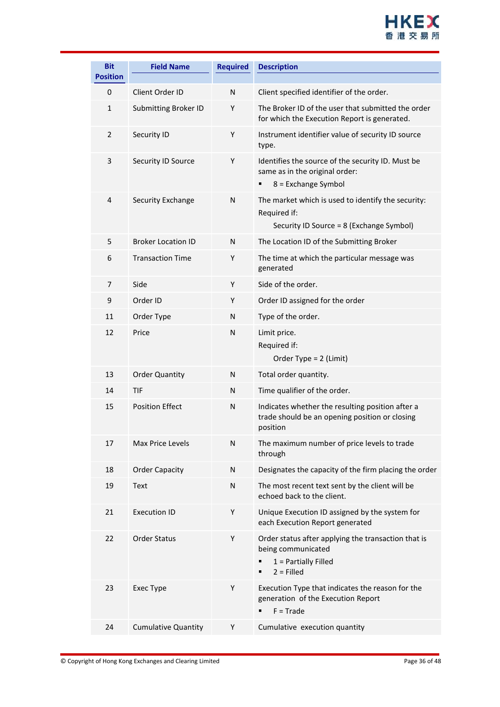

| <b>Bit</b>                      | <b>Field Name</b>           | <b>Required</b> | <b>Description</b>                                                                                                  |
|---------------------------------|-----------------------------|-----------------|---------------------------------------------------------------------------------------------------------------------|
| <b>Position</b><br>$\mathbf{0}$ | Client Order ID             | N               | Client specified identifier of the order.                                                                           |
| $\mathbf{1}$                    | <b>Submitting Broker ID</b> | Y               | The Broker ID of the user that submitted the order<br>for which the Execution Report is generated.                  |
| $\overline{2}$                  | Security ID                 | Y               | Instrument identifier value of security ID source<br>type.                                                          |
| 3                               | Security ID Source          | Υ               | Identifies the source of the security ID. Must be<br>same as in the original order:<br>8 = Exchange Symbol          |
| 4                               | Security Exchange           | N               | The market which is used to identify the security:<br>Required if:<br>Security ID Source = 8 (Exchange Symbol)      |
| 5                               | <b>Broker Location ID</b>   | N               | The Location ID of the Submitting Broker                                                                            |
| 6                               | <b>Transaction Time</b>     | Y               | The time at which the particular message was<br>generated                                                           |
| 7                               | Side                        | Y               | Side of the order.                                                                                                  |
| 9                               | Order ID                    | Y               | Order ID assigned for the order                                                                                     |
| 11                              | Order Type                  | N               | Type of the order.                                                                                                  |
| 12                              | Price                       | N               | Limit price.<br>Required if:<br>Order Type = 2 (Limit)                                                              |
| 13                              | <b>Order Quantity</b>       | N               | Total order quantity.                                                                                               |
| 14                              | <b>TIF</b>                  | N               | Time qualifier of the order.                                                                                        |
| 15                              | <b>Position Effect</b>      | N               | Indicates whether the resulting position after a<br>trade should be an opening position or closing<br>position      |
| 17                              | Max Price Levels            | ${\sf N}$       | The maximum number of price levels to trade<br>through                                                              |
| 18                              | <b>Order Capacity</b>       | N               | Designates the capacity of the firm placing the order                                                               |
| 19                              | Text                        | N               | The most recent text sent by the client will be<br>echoed back to the client.                                       |
| 21                              | <b>Execution ID</b>         | Y               | Unique Execution ID assigned by the system for<br>each Execution Report generated                                   |
| 22                              | <b>Order Status</b>         | Υ               | Order status after applying the transaction that is<br>being communicated<br>$1 =$ Partially Filled<br>$2 =$ Filled |
| 23                              | Exec Type                   | Y               | Execution Type that indicates the reason for the<br>generation of the Execution Report<br>$F = Trade$               |
| 24                              | <b>Cumulative Quantity</b>  | Υ               | Cumulative execution quantity                                                                                       |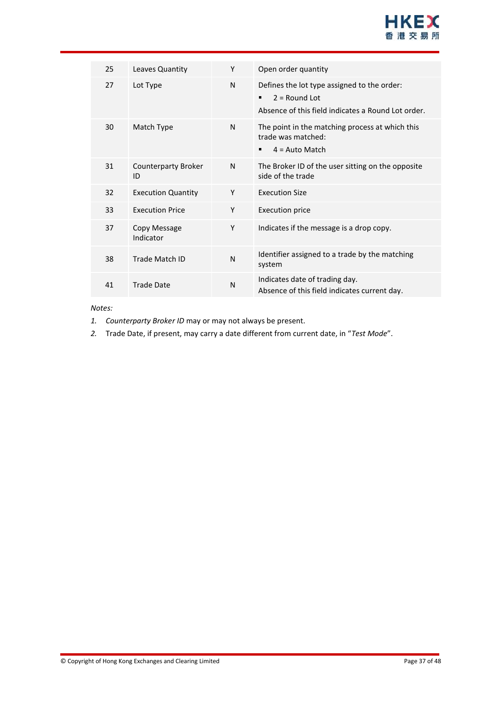

| 25 | Leaves Quantity                  | Y            | Open order quantity                                                                                                  |
|----|----------------------------------|--------------|----------------------------------------------------------------------------------------------------------------------|
| 27 | Lot Type                         | N            | Defines the lot type assigned to the order:<br>$2 =$ Round Lot<br>Absence of this field indicates a Round Lot order. |
| 30 | Match Type                       | N            | The point in the matching process at which this<br>trade was matched:<br>$4 = Auto Match$<br>٠                       |
| 31 | <b>Counterparty Broker</b><br>ID | N            | The Broker ID of the user sitting on the opposite<br>side of the trade                                               |
| 32 | <b>Execution Quantity</b>        | Υ            | <b>Execution Size</b>                                                                                                |
| 33 | <b>Execution Price</b>           | Y            | Execution price                                                                                                      |
| 37 | Copy Message<br>Indicator        | Y            | Indicates if the message is a drop copy.                                                                             |
| 38 | Trade Match ID                   | $\mathsf{N}$ | Identifier assigned to a trade by the matching<br>system                                                             |
| 41 | Trade Date                       | $\mathsf{N}$ | Indicates date of trading day.<br>Absence of this field indicates current day.                                       |

#### *Notes:*

- *1. Counterparty Broker ID* may or may not always be present.
- *2.* Trade Date, if present, may carry a date different from current date, in "*Test Mode*".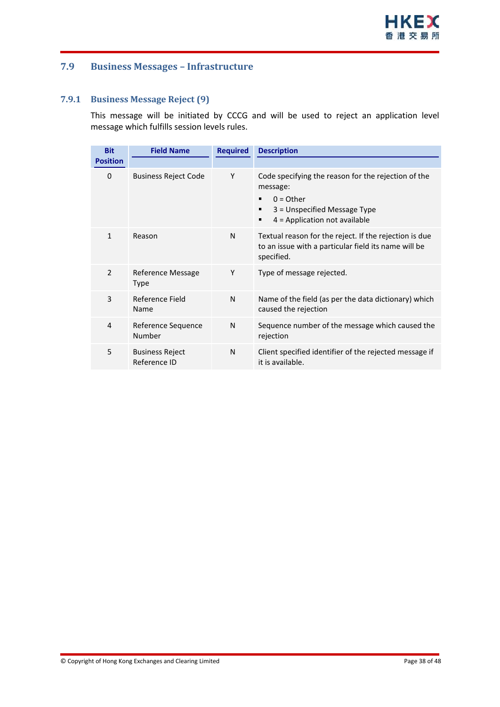#### <span id="page-37-0"></span>**7.9 Business Messages – Infrastructure**

#### <span id="page-37-1"></span>**7.9.1 Business Message Reject (9)**

This message will be initiated by CCCG and will be used to reject an application level message which fulfills session levels rules.

| <b>Bit</b>               | <b>Field Name</b>                      | <b>Required</b> | <b>Description</b>                                                                                                                                          |
|--------------------------|----------------------------------------|-----------------|-------------------------------------------------------------------------------------------------------------------------------------------------------------|
| <b>Position</b>          |                                        |                 |                                                                                                                                                             |
| 0                        | <b>Business Reject Code</b>            | Y               | Code specifying the reason for the rejection of the<br>message:<br>$0 =$ Other<br>3 = Unspecified Message Type<br>٠<br>$4$ = Application not available<br>٠ |
| $\mathbf{1}$             | Reason                                 | N               | Textual reason for the reject. If the rejection is due<br>to an issue with a particular field its name will be<br>specified.                                |
| $\overline{\phantom{a}}$ | Reference Message<br><b>Type</b>       | Υ               | Type of message rejected.                                                                                                                                   |
| 3                        | Reference Field<br>Name                | N               | Name of the field (as per the data dictionary) which<br>caused the rejection                                                                                |
| 4                        | Reference Sequence<br>Number           | N               | Sequence number of the message which caused the<br>rejection                                                                                                |
| 5                        | <b>Business Reject</b><br>Reference ID | N               | Client specified identifier of the rejected message if<br>it is available.                                                                                  |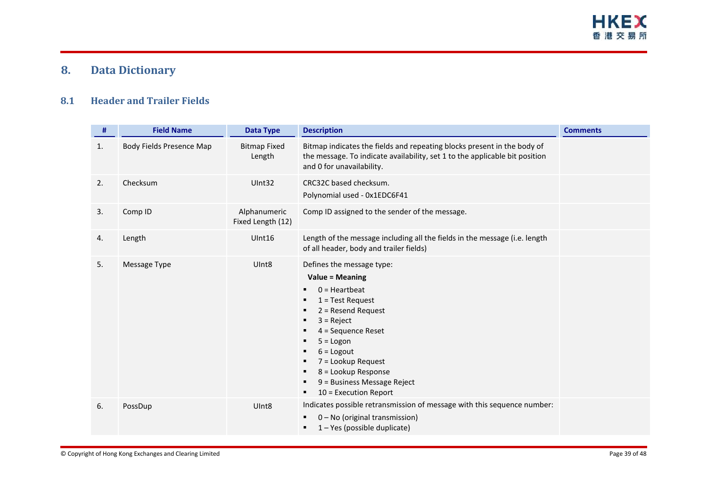

# **8. Data Dictionary**

#### **8.1 Header and Trailer Fields**

<span id="page-38-1"></span><span id="page-38-0"></span>

| #  | <b>Field Name</b>               | <b>Data Type</b>                  | <b>Description</b>                                                                                                                                                                                                                                                                                                                                        | <b>Comments</b> |
|----|---------------------------------|-----------------------------------|-----------------------------------------------------------------------------------------------------------------------------------------------------------------------------------------------------------------------------------------------------------------------------------------------------------------------------------------------------------|-----------------|
| 1. | <b>Body Fields Presence Map</b> | <b>Bitmap Fixed</b><br>Length     | Bitmap indicates the fields and repeating blocks present in the body of<br>the message. To indicate availability, set 1 to the applicable bit position<br>and 0 for unavailability.                                                                                                                                                                       |                 |
| 2. | Checksum                        | UInt32                            | CRC32C based checksum.<br>Polynomial used - 0x1EDC6F41                                                                                                                                                                                                                                                                                                    |                 |
| 3. | Comp ID                         | Alphanumeric<br>Fixed Length (12) | Comp ID assigned to the sender of the message.                                                                                                                                                                                                                                                                                                            |                 |
| 4. | Length                          | UInt16                            | Length of the message including all the fields in the message (i.e. length<br>of all header, body and trailer fields)                                                                                                                                                                                                                                     |                 |
| 5. | Message Type                    | UInt <sub>8</sub>                 | Defines the message type:<br><b>Value = Meaning</b><br>$0 =$ Heartbeat<br>п<br>$1 = Test Request$<br>п<br>$2 =$ Resend Request<br>п<br>$3 =$ Reject<br>п<br>4 = Sequence Reset<br>в<br>$5 = Logon$<br>п<br>$6 =$ Logout<br>п<br>$7 =$ Lookup Request<br>п<br>8 = Lookup Response<br>п<br>9 = Business Message Reject<br>п<br>$10$ = Execution Report<br>٠ |                 |
| 6. | PossDup                         | Ulnt <sub>8</sub>                 | Indicates possible retransmission of message with this sequence number:<br>0 - No (original transmission)<br>п<br>1 - Yes (possible duplicate)<br>п                                                                                                                                                                                                       |                 |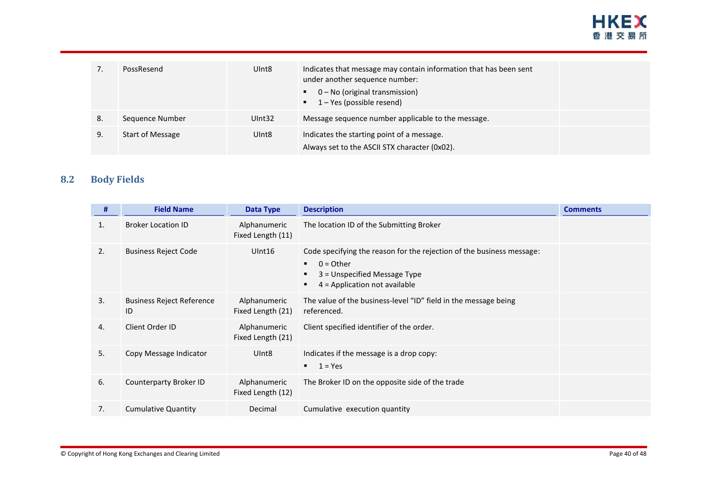

| $\prime$ . | PossResend              | UInt <sub>8</sub> | Indicates that message may contain information that has been sent<br>under another sequence number:<br>0 - No (original transmission)<br>$\blacksquare$ 1 – Yes (possible resend) |  |
|------------|-------------------------|-------------------|-----------------------------------------------------------------------------------------------------------------------------------------------------------------------------------|--|
| 8.         | Sequence Number         | UInt32            | Message sequence number applicable to the message.                                                                                                                                |  |
| 9.         | <b>Start of Message</b> | UInt <sub>8</sub> | Indicates the starting point of a message.<br>Always set to the ASCII STX character (0x02).                                                                                       |  |

#### **8.2 Body Fields**

<span id="page-39-0"></span>

| #  | <b>Field Name</b>                      | <b>Data Type</b>                  | <b>Description</b>                                                                                                                                                             | <b>Comments</b> |
|----|----------------------------------------|-----------------------------------|--------------------------------------------------------------------------------------------------------------------------------------------------------------------------------|-----------------|
| 1. | <b>Broker Location ID</b>              | Alphanumeric<br>Fixed Length (11) | The location ID of the Submitting Broker                                                                                                                                       |                 |
| 2. | <b>Business Reject Code</b>            | UInt16                            | Code specifying the reason for the rejection of the business message:<br>$0 =$ Other<br>$\blacksquare$<br>3 = Unspecified Message Type<br>٠<br>$4$ = Application not available |                 |
| 3. | <b>Business Reject Reference</b><br>ID | Alphanumeric<br>Fixed Length (21) | The value of the business-level "ID" field in the message being<br>referenced.                                                                                                 |                 |
| 4. | Client Order ID                        | Alphanumeric<br>Fixed Length (21) | Client specified identifier of the order.                                                                                                                                      |                 |
| 5. | Copy Message Indicator                 | UInt <sub>8</sub>                 | Indicates if the message is a drop copy:<br>$1 = Yes$<br>$\blacksquare$                                                                                                        |                 |
| 6. | Counterparty Broker ID                 | Alphanumeric<br>Fixed Length (12) | The Broker ID on the opposite side of the trade                                                                                                                                |                 |
| 7. | <b>Cumulative Quantity</b>             | Decimal                           | Cumulative execution quantity                                                                                                                                                  |                 |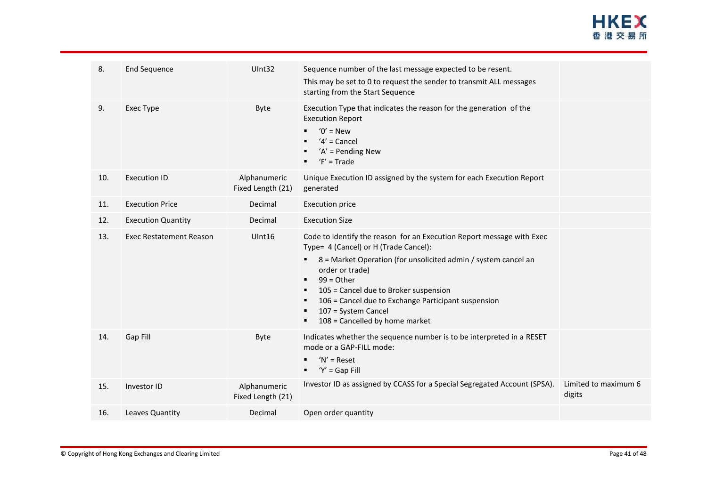

| 8.  | End Sequence                   | UInt32                            | Sequence number of the last message expected to be resent.<br>This may be set to 0 to request the sender to transmit ALL messages<br>starting from the Start Sequence                                                                                                                                                                                                                                              |                                |
|-----|--------------------------------|-----------------------------------|--------------------------------------------------------------------------------------------------------------------------------------------------------------------------------------------------------------------------------------------------------------------------------------------------------------------------------------------------------------------------------------------------------------------|--------------------------------|
| 9.  | <b>Exec Type</b>               | Byte                              | Execution Type that indicates the reason for the generation of the<br><b>Execution Report</b><br>$'0'$ = New<br>$'4'$ = Cancel<br>$'A'$ = Pending New<br>$F' = Trade$                                                                                                                                                                                                                                              |                                |
| 10. | <b>Execution ID</b>            | Alphanumeric<br>Fixed Length (21) | Unique Execution ID assigned by the system for each Execution Report<br>generated                                                                                                                                                                                                                                                                                                                                  |                                |
| 11. | <b>Execution Price</b>         | Decimal                           | <b>Execution price</b>                                                                                                                                                                                                                                                                                                                                                                                             |                                |
| 12. | <b>Execution Quantity</b>      | Decimal                           | <b>Execution Size</b>                                                                                                                                                                                                                                                                                                                                                                                              |                                |
| 13. | <b>Exec Restatement Reason</b> | UInt16                            | Code to identify the reason for an Execution Report message with Exec<br>Type= 4 (Cancel) or H (Trade Cancel):<br>8 = Market Operation (for unsolicited admin / system cancel an<br>٠<br>order or trade)<br>$99 = Other$<br>$\blacksquare$<br>105 = Cancel due to Broker suspension<br>л<br>106 = Cancel due to Exchange Participant suspension<br>п<br>107 = System Cancel<br>108 = Cancelled by home market<br>в |                                |
| 14. | Gap Fill                       | Byte                              | Indicates whether the sequence number is to be interpreted in a RESET<br>mode or a GAP-FILL mode:<br>$'N'$ = Reset<br>$Y' = Gap$ Fill<br>٠                                                                                                                                                                                                                                                                         |                                |
| 15. | Investor ID                    | Alphanumeric<br>Fixed Length (21) | Investor ID as assigned by CCASS for a Special Segregated Account (SPSA).                                                                                                                                                                                                                                                                                                                                          | Limited to maximum 6<br>digits |
| 16. | Leaves Quantity                | Decimal                           | Open order quantity                                                                                                                                                                                                                                                                                                                                                                                                |                                |
|     |                                |                                   |                                                                                                                                                                                                                                                                                                                                                                                                                    |                                |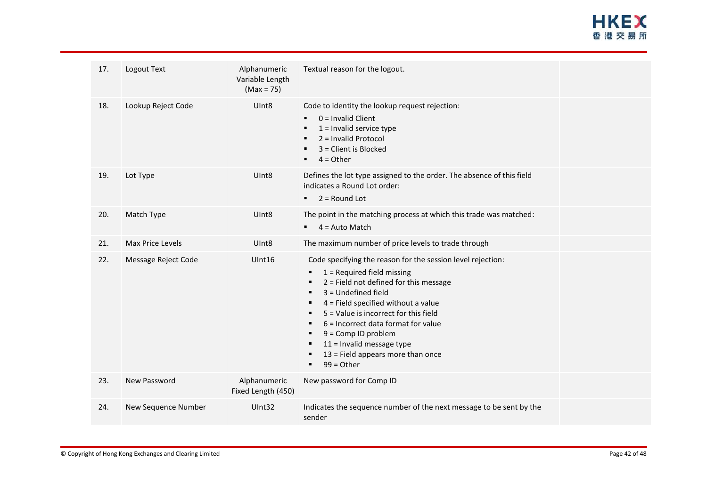| 17. | Logout Text         | Alphanumeric<br>Variable Length<br>$(Max = 75)$ | Textual reason for the logout.                                                                                                                                                                                                                                                                                                                                                                                                            |  |
|-----|---------------------|-------------------------------------------------|-------------------------------------------------------------------------------------------------------------------------------------------------------------------------------------------------------------------------------------------------------------------------------------------------------------------------------------------------------------------------------------------------------------------------------------------|--|
| 18. | Lookup Reject Code  | Ulnt8                                           | Code to identity the lookup request rejection:<br>$0 =$ Invalid Client<br>٠<br>$1 =$ Invalid service type<br>٠<br>2 = Invalid Protocol<br>3 = Client is Blocked<br>٠<br>$4 = Other$<br>٠                                                                                                                                                                                                                                                  |  |
| 19. | Lot Type            | Ulnt <sub>8</sub>                               | Defines the lot type assigned to the order. The absence of this field<br>indicates a Round Lot order:<br>$2 =$ Round Lot<br>$\blacksquare$                                                                                                                                                                                                                                                                                                |  |
| 20. | Match Type          | Ulnt <sub>8</sub>                               | The point in the matching process at which this trade was matched:<br>4 = Auto Match<br>$\blacksquare$                                                                                                                                                                                                                                                                                                                                    |  |
| 21. | Max Price Levels    | Ulnt <sub>8</sub>                               | The maximum number of price levels to trade through                                                                                                                                                                                                                                                                                                                                                                                       |  |
| 22. | Message Reject Code | UInt16                                          | Code specifying the reason for the session level rejection:<br>$1$ = Required field missing<br>٠<br>$2$ = Field not defined for this message<br>٠<br>$3 =$ Undefined field<br>٠<br>$4$ = Field specified without a value<br>5 = Value is incorrect for this field<br>٠<br>6 = Incorrect data format for value<br>٠<br>$9 = Comp$ ID problem<br>٠<br>$11$ = Invalid message type<br>13 = Field appears more than once<br>$99 = Other$<br>٠ |  |
| 23. | New Password        | Alphanumeric<br>Fixed Length (450)              | New password for Comp ID                                                                                                                                                                                                                                                                                                                                                                                                                  |  |
| 24. | New Sequence Number | UInt32                                          | Indicates the sequence number of the next message to be sent by the<br>sender                                                                                                                                                                                                                                                                                                                                                             |  |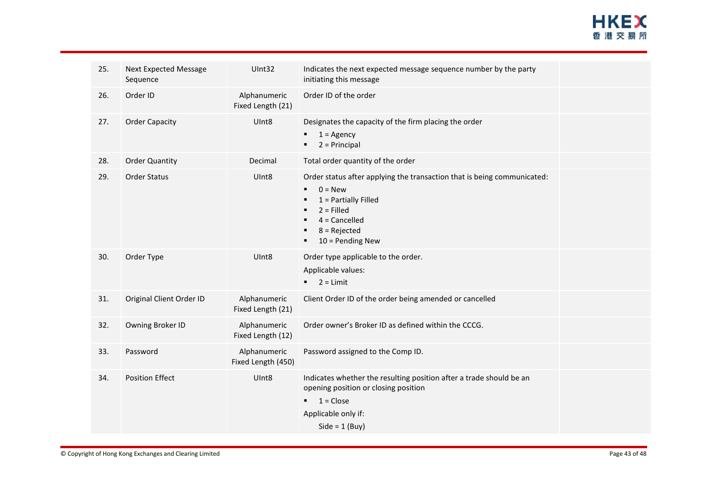

| 25. | <b>Next Expected Message</b><br>Sequence | UInt32                             | Indicates the next expected message sequence number by the party<br>initiating this message                                                                                               |  |
|-----|------------------------------------------|------------------------------------|-------------------------------------------------------------------------------------------------------------------------------------------------------------------------------------------|--|
| 26. | Order ID                                 | Alphanumeric<br>Fixed Length (21)  | Order ID of the order                                                                                                                                                                     |  |
| 27. | <b>Order Capacity</b>                    | UInt8                              | Designates the capacity of the firm placing the order<br>$1 = \text{Agency}$<br>$2 = Principal$                                                                                           |  |
| 28. | <b>Order Quantity</b>                    | Decimal                            | Total order quantity of the order                                                                                                                                                         |  |
| 29. | Order Status                             | UInt8                              | Order status after applying the transaction that is being communicated:<br>$0 = New$<br>$1$ = Partially Filled<br>$2 =$ Filled<br>$4 =$ Cancelled<br>$8 =$ Rejected<br>$10 =$ Pending New |  |
| 30. | Order Type                               | Ulnt <sub>8</sub>                  | Order type applicable to the order.<br>Applicable values:<br>$2 = Limit$<br>$\blacksquare$                                                                                                |  |
| 31. | Original Client Order ID                 | Alphanumeric<br>Fixed Length (21)  | Client Order ID of the order being amended or cancelled                                                                                                                                   |  |
| 32. | Owning Broker ID                         | Alphanumeric<br>Fixed Length (12)  | Order owner's Broker ID as defined within the CCCG.                                                                                                                                       |  |
| 33. | Password                                 | Alphanumeric<br>Fixed Length (450) | Password assigned to the Comp ID.                                                                                                                                                         |  |
| 34. | <b>Position Effect</b>                   | UInt8                              | Indicates whether the resulting position after a trade should be an<br>opening position or closing position<br>$1 = Close$<br>٠<br>Applicable only if:<br>Side = $1$ (Buy)                |  |
|     |                                          |                                    |                                                                                                                                                                                           |  |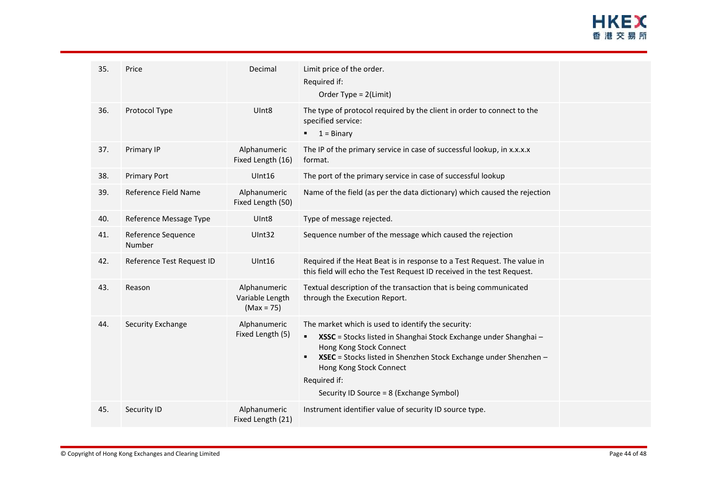# **HKEX** 香港交易所

| 35. | Price                        | Decimal                                         | Limit price of the order.<br>Required if:<br>Order Type = 2(Limit)                                                                                                                                                                                                                                                             |  |
|-----|------------------------------|-------------------------------------------------|--------------------------------------------------------------------------------------------------------------------------------------------------------------------------------------------------------------------------------------------------------------------------------------------------------------------------------|--|
| 36. | Protocol Type                | UInt <sub>8</sub>                               | The type of protocol required by the client in order to connect to the<br>specified service:<br>$\blacksquare$ 1 = Binary                                                                                                                                                                                                      |  |
| 37. | Primary IP                   | Alphanumeric<br>Fixed Length (16)               | The IP of the primary service in case of successful lookup, in x.x.x.x<br>format.                                                                                                                                                                                                                                              |  |
| 38. | <b>Primary Port</b>          | UInt16                                          | The port of the primary service in case of successful lookup                                                                                                                                                                                                                                                                   |  |
| 39. | Reference Field Name         | Alphanumeric<br>Fixed Length (50)               | Name of the field (as per the data dictionary) which caused the rejection                                                                                                                                                                                                                                                      |  |
| 40. | Reference Message Type       | UInt <sub>8</sub>                               | Type of message rejected.                                                                                                                                                                                                                                                                                                      |  |
| 41. | Reference Sequence<br>Number | UInt32                                          | Sequence number of the message which caused the rejection                                                                                                                                                                                                                                                                      |  |
| 42. | Reference Test Request ID    | UInt16                                          | Required if the Heat Beat is in response to a Test Request. The value in<br>this field will echo the Test Request ID received in the test Request.                                                                                                                                                                             |  |
| 43. | Reason                       | Alphanumeric<br>Variable Length<br>$(Max = 75)$ | Textual description of the transaction that is being communicated<br>through the Execution Report.                                                                                                                                                                                                                             |  |
| 44. | Security Exchange            | Alphanumeric<br>Fixed Length (5)                | The market which is used to identify the security:<br>XSSC = Stocks listed in Shanghai Stock Exchange under Shanghai -<br>$\blacksquare$<br>Hong Kong Stock Connect<br>XSEC = Stocks listed in Shenzhen Stock Exchange under Shenzhen -<br>Hong Kong Stock Connect<br>Required if:<br>Security ID Source = 8 (Exchange Symbol) |  |
| 45. | Security ID                  | Alphanumeric<br>Fixed Length (21)               | Instrument identifier value of security ID source type.                                                                                                                                                                                                                                                                        |  |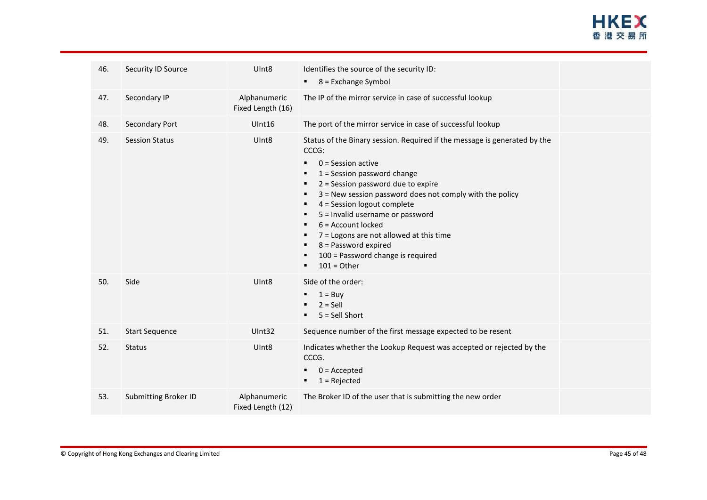

| Security ID Source<br>Identifies the source of the security ID:<br>UInt8<br>46.<br>$8 =$ Exchange Symbol<br>Secondary IP<br>Alphanumeric<br>The IP of the mirror service in case of successful lookup<br>47.<br>Fixed Length (16)<br>The port of the mirror service in case of successful lookup<br>Secondary Port<br>UInt16<br>48.<br>Status of the Binary session. Required if the message is generated by the<br>49.<br>UInt8<br><b>Session Status</b><br>CCCG:<br>$0 =$ Session active<br>٠<br>$1 =$ Session password change<br>٠<br>2 = Session password due to expire<br>٠<br>3 = New session password does not comply with the policy<br>٠<br>4 = Session logout complete<br>٠<br>5 = Invalid username or password<br>٠<br>6 = Account locked<br>٠<br>7 = Logons are not allowed at this time<br>٠<br>8 = Password expired<br>100 = Password change is required<br>٠<br>$101 =$ Other<br>٠<br>50.<br>Side<br>UInt8<br>Side of the order:<br>$1 = Buy$<br>$2 =$ Sell<br>5 = Sell Short<br>51.<br>Sequence number of the first message expected to be resent<br><b>Start Sequence</b><br>UInt32<br>Indicates whether the Lookup Request was accepted or rejected by the<br>52.<br>UInt8<br><b>Status</b><br>CCCG.<br>$0 =$ Accepted<br>$1 =$ Rejected<br>٠<br>53.<br><b>Submitting Broker ID</b><br>Alphanumeric<br>The Broker ID of the user that is submitting the new order<br>Fixed Length (12) |  |  |  |
|----------------------------------------------------------------------------------------------------------------------------------------------------------------------------------------------------------------------------------------------------------------------------------------------------------------------------------------------------------------------------------------------------------------------------------------------------------------------------------------------------------------------------------------------------------------------------------------------------------------------------------------------------------------------------------------------------------------------------------------------------------------------------------------------------------------------------------------------------------------------------------------------------------------------------------------------------------------------------------------------------------------------------------------------------------------------------------------------------------------------------------------------------------------------------------------------------------------------------------------------------------------------------------------------------------------------------------------------------------------------------------------------------------|--|--|--|
|                                                                                                                                                                                                                                                                                                                                                                                                                                                                                                                                                                                                                                                                                                                                                                                                                                                                                                                                                                                                                                                                                                                                                                                                                                                                                                                                                                                                          |  |  |  |
|                                                                                                                                                                                                                                                                                                                                                                                                                                                                                                                                                                                                                                                                                                                                                                                                                                                                                                                                                                                                                                                                                                                                                                                                                                                                                                                                                                                                          |  |  |  |
|                                                                                                                                                                                                                                                                                                                                                                                                                                                                                                                                                                                                                                                                                                                                                                                                                                                                                                                                                                                                                                                                                                                                                                                                                                                                                                                                                                                                          |  |  |  |
|                                                                                                                                                                                                                                                                                                                                                                                                                                                                                                                                                                                                                                                                                                                                                                                                                                                                                                                                                                                                                                                                                                                                                                                                                                                                                                                                                                                                          |  |  |  |
|                                                                                                                                                                                                                                                                                                                                                                                                                                                                                                                                                                                                                                                                                                                                                                                                                                                                                                                                                                                                                                                                                                                                                                                                                                                                                                                                                                                                          |  |  |  |
|                                                                                                                                                                                                                                                                                                                                                                                                                                                                                                                                                                                                                                                                                                                                                                                                                                                                                                                                                                                                                                                                                                                                                                                                                                                                                                                                                                                                          |  |  |  |
|                                                                                                                                                                                                                                                                                                                                                                                                                                                                                                                                                                                                                                                                                                                                                                                                                                                                                                                                                                                                                                                                                                                                                                                                                                                                                                                                                                                                          |  |  |  |
|                                                                                                                                                                                                                                                                                                                                                                                                                                                                                                                                                                                                                                                                                                                                                                                                                                                                                                                                                                                                                                                                                                                                                                                                                                                                                                                                                                                                          |  |  |  |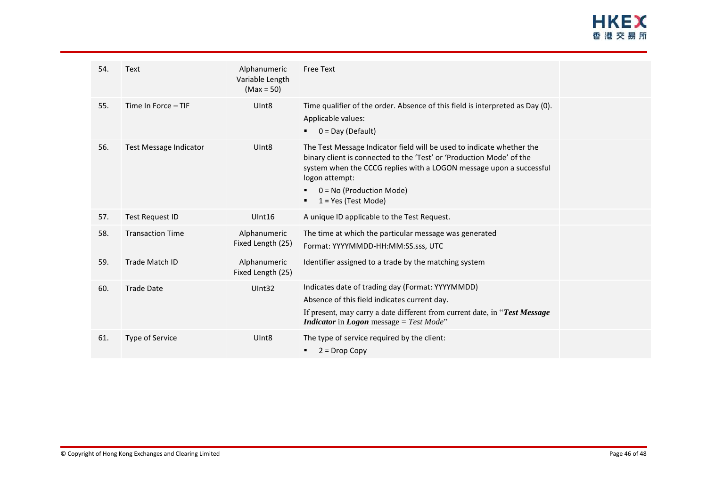# **HKEX** 香港交易所

| 54. | <b>Text</b>             | Alphanumeric<br>Variable Length<br>$(Max = 50)$ | <b>Free Text</b>                                                                                                                                                                                                                                                                              |  |
|-----|-------------------------|-------------------------------------------------|-----------------------------------------------------------------------------------------------------------------------------------------------------------------------------------------------------------------------------------------------------------------------------------------------|--|
| 55. | Time In Force - TIF     | Ulnt <sub>8</sub>                               | Time qualifier of the order. Absence of this field is interpreted as Day (0).<br>Applicable values:<br>$0 = Day (Default)$                                                                                                                                                                    |  |
| 56. | Test Message Indicator  | UInt <sub>8</sub>                               | The Test Message Indicator field will be used to indicate whether the<br>binary client is connected to the 'Test' or 'Production Mode' of the<br>system when the CCCG replies with a LOGON message upon a successful<br>logon attempt:<br>$0 = No$ (Production Mode)<br>$1 = Yes$ (Test Mode) |  |
| 57. | <b>Test Request ID</b>  | UInt16                                          | A unique ID applicable to the Test Request.                                                                                                                                                                                                                                                   |  |
| 58. | <b>Transaction Time</b> | Alphanumeric<br>Fixed Length (25)               | The time at which the particular message was generated<br>Format: YYYYMMDD-HH:MM:SS.sss, UTC                                                                                                                                                                                                  |  |
| 59. | <b>Trade Match ID</b>   | Alphanumeric<br>Fixed Length (25)               | Identifier assigned to a trade by the matching system                                                                                                                                                                                                                                         |  |
| 60. | <b>Trade Date</b>       | Ulnt32                                          | Indicates date of trading day (Format: YYYYMMDD)<br>Absence of this field indicates current day.<br>If present, may carry a date different from current date, in "Test Message"<br><b>Indicator</b> in <b>Logon</b> message = Test Mode"                                                      |  |
| 61. | Type of Service         | UInt <sub>8</sub>                               | The type of service required by the client:<br>$2 = Drop Copy$                                                                                                                                                                                                                                |  |
|     |                         |                                                 |                                                                                                                                                                                                                                                                                               |  |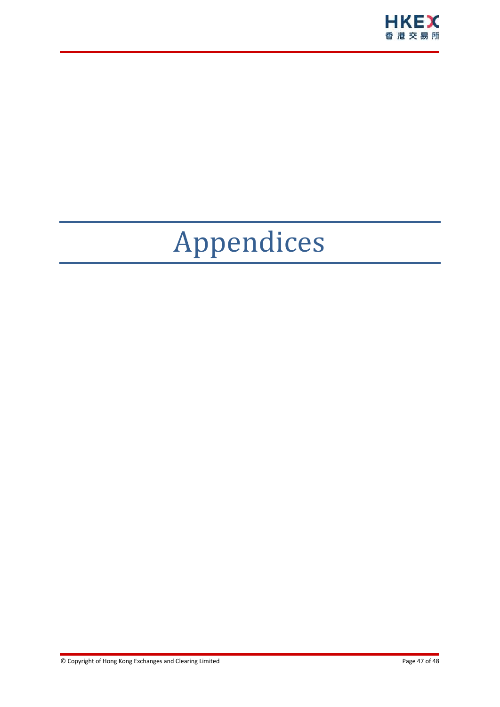

# <span id="page-46-0"></span>Appendices